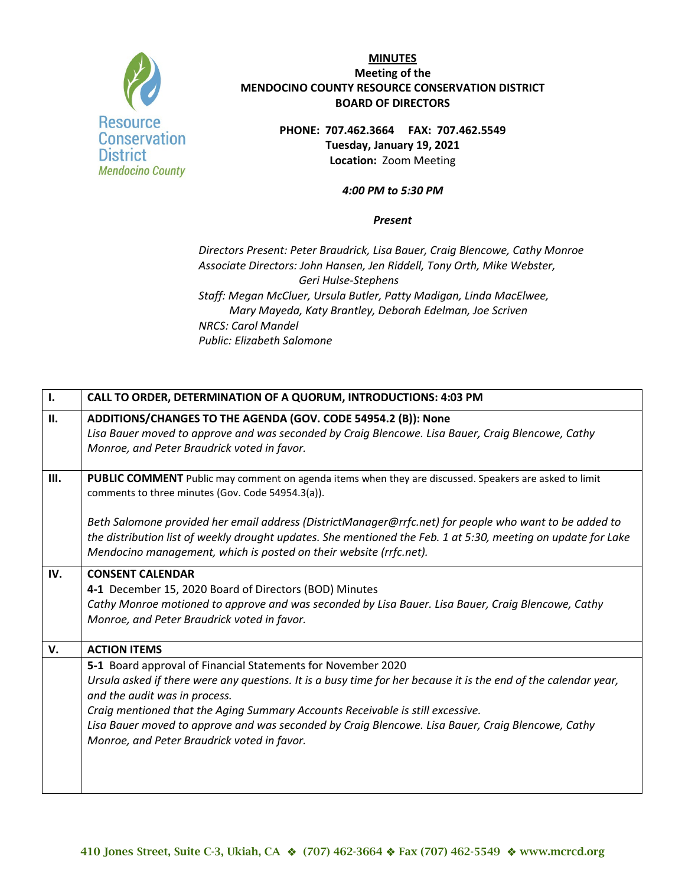

**PHONE: 707.462.3664 FAX: 707.462.5549 Tuesday, January 19, 2021 Location:** Zoom Meeting

#### *4:00 PM to 5:30 PM*

#### *Present*

*Directors Present: Peter Braudrick, Lisa Bauer, Craig Blencowe, Cathy Monroe Associate Directors: John Hansen, Jen Riddell, Tony Orth, Mike Webster, Geri Hulse-Stephens Staff: Megan McCluer, Ursula Butler, Patty Madigan, Linda MacElwee, Mary Mayeda, Katy Brantley, Deborah Edelman, Joe Scriven NRCS: Carol Mandel Public: Elizabeth Salomone*

| $\mathbf{I}$ . | CALL TO ORDER, DETERMINATION OF A QUORUM, INTRODUCTIONS: 4:03 PM                                                                                                                                                                                                                                                                                                                                                                                       |
|----------------|--------------------------------------------------------------------------------------------------------------------------------------------------------------------------------------------------------------------------------------------------------------------------------------------------------------------------------------------------------------------------------------------------------------------------------------------------------|
| II.            | ADDITIONS/CHANGES TO THE AGENDA (GOV. CODE 54954.2 (B)): None<br>Lisa Bauer moved to approve and was seconded by Craig Blencowe. Lisa Bauer, Craig Blencowe, Cathy<br>Monroe, and Peter Braudrick voted in favor.                                                                                                                                                                                                                                      |
| III.           | PUBLIC COMMENT Public may comment on agenda items when they are discussed. Speakers are asked to limit<br>comments to three minutes (Gov. Code 54954.3(a)).                                                                                                                                                                                                                                                                                            |
|                | Beth Salomone provided her email address (DistrictManager@rrfc.net) for people who want to be added to<br>the distribution list of weekly drought updates. She mentioned the Feb. 1 at 5:30, meeting on update for Lake<br>Mendocino management, which is posted on their website (rrfc.net).                                                                                                                                                          |
| IV.            | <b>CONSENT CALENDAR</b><br>4-1 December 15, 2020 Board of Directors (BOD) Minutes<br>Cathy Monroe motioned to approve and was seconded by Lisa Bauer. Lisa Bauer, Craig Blencowe, Cathy<br>Monroe, and Peter Braudrick voted in favor.                                                                                                                                                                                                                 |
| V.             | <b>ACTION ITEMS</b>                                                                                                                                                                                                                                                                                                                                                                                                                                    |
|                | 5-1 Board approval of Financial Statements for November 2020<br>Ursula asked if there were any questions. It is a busy time for her because it is the end of the calendar year,<br>and the audit was in process.<br>Craig mentioned that the Aging Summary Accounts Receivable is still excessive.<br>Lisa Bauer moved to approve and was seconded by Craig Blencowe. Lisa Bauer, Craig Blencowe, Cathy<br>Monroe, and Peter Braudrick voted in favor. |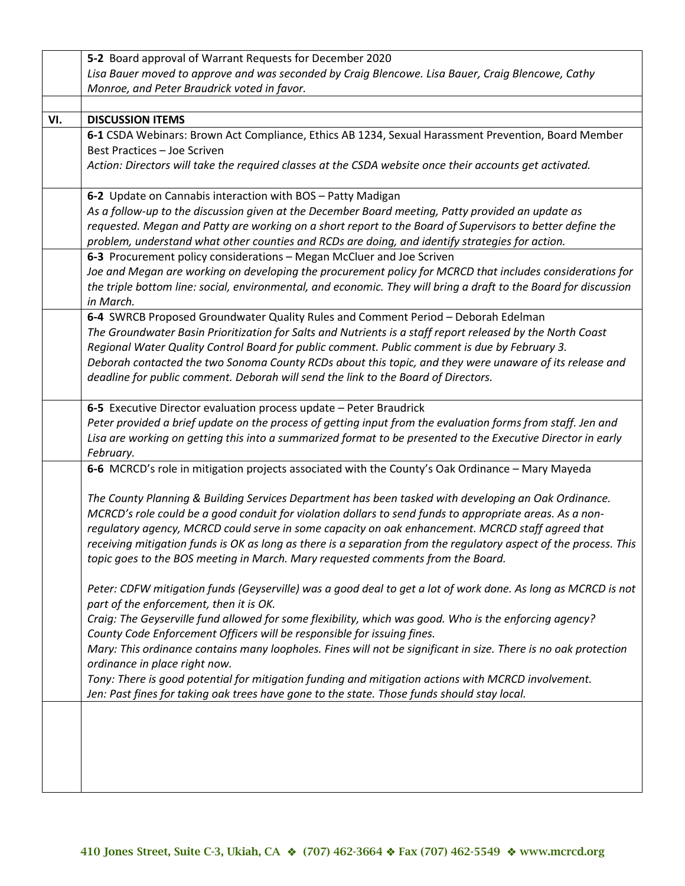|     | 5-2 Board approval of Warrant Requests for December 2020                                                                      |
|-----|-------------------------------------------------------------------------------------------------------------------------------|
|     | Lisa Bauer moved to approve and was seconded by Craig Blencowe. Lisa Bauer, Craig Blencowe, Cathy                             |
|     | Monroe, and Peter Braudrick voted in favor.                                                                                   |
|     |                                                                                                                               |
| VI. | <b>DISCUSSION ITEMS</b>                                                                                                       |
|     | 6-1 CSDA Webinars: Brown Act Compliance, Ethics AB 1234, Sexual Harassment Prevention, Board Member                           |
|     | Best Practices - Joe Scriven                                                                                                  |
|     | Action: Directors will take the required classes at the CSDA website once their accounts get activated.                       |
|     |                                                                                                                               |
|     | 6-2 Update on Cannabis interaction with BOS - Patty Madigan                                                                   |
|     | As a follow-up to the discussion given at the December Board meeting, Patty provided an update as                             |
|     | requested. Megan and Patty are working on a short report to the Board of Supervisors to better define the                     |
|     | problem, understand what other counties and RCDs are doing, and identify strategies for action.                               |
|     | 6-3 Procurement policy considerations - Megan McCluer and Joe Scriven                                                         |
|     | Joe and Megan are working on developing the procurement policy for MCRCD that includes considerations for                     |
|     | the triple bottom line: social, environmental, and economic. They will bring a draft to the Board for discussion<br>in March. |
|     | 6-4 SWRCB Proposed Groundwater Quality Rules and Comment Period - Deborah Edelman                                             |
|     | The Groundwater Basin Prioritization for Salts and Nutrients is a staff report released by the North Coast                    |
|     | Regional Water Quality Control Board for public comment. Public comment is due by February 3.                                 |
|     | Deborah contacted the two Sonoma County RCDs about this topic, and they were unaware of its release and                       |
|     | deadline for public comment. Deborah will send the link to the Board of Directors.                                            |
|     |                                                                                                                               |
|     | 6-5 Executive Director evaluation process update - Peter Braudrick                                                            |
|     | Peter provided a brief update on the process of getting input from the evaluation forms from staff. Jen and                   |
|     | Lisa are working on getting this into a summarized format to be presented to the Executive Director in early                  |
|     | February.                                                                                                                     |
|     | 6-6 MCRCD's role in mitigation projects associated with the County's Oak Ordinance - Mary Mayeda                              |
|     | The County Planning & Building Services Department has been tasked with developing an Oak Ordinance.                          |
|     | MCRCD's role could be a good conduit for violation dollars to send funds to appropriate areas. As a non-                      |
|     | regulatory agency, MCRCD could serve in some capacity on oak enhancement. MCRCD staff agreed that                             |
|     | receiving mitigation funds is OK as long as there is a separation from the regulatory aspect of the process. This             |
|     | topic goes to the BOS meeting in March. Mary requested comments from the Board.                                               |
|     |                                                                                                                               |
|     | Peter: CDFW mitigation funds (Geyserville) was a good deal to get a lot of work done. As long as MCRCD is not                 |
|     | part of the enforcement, then it is OK.                                                                                       |
|     | Craig: The Geyserville fund allowed for some flexibility, which was good. Who is the enforcing agency?                        |
|     | County Code Enforcement Officers will be responsible for issuing fines.                                                       |
|     | Mary: This ordinance contains many loopholes. Fines will not be significant in size. There is no oak protection               |
|     | ordinance in place right now.                                                                                                 |
|     | Tony: There is good potential for mitigation funding and mitigation actions with MCRCD involvement.                           |
|     | Jen: Past fines for taking oak trees have gone to the state. Those funds should stay local.                                   |
|     |                                                                                                                               |
|     |                                                                                                                               |
|     |                                                                                                                               |
|     |                                                                                                                               |
|     |                                                                                                                               |
|     |                                                                                                                               |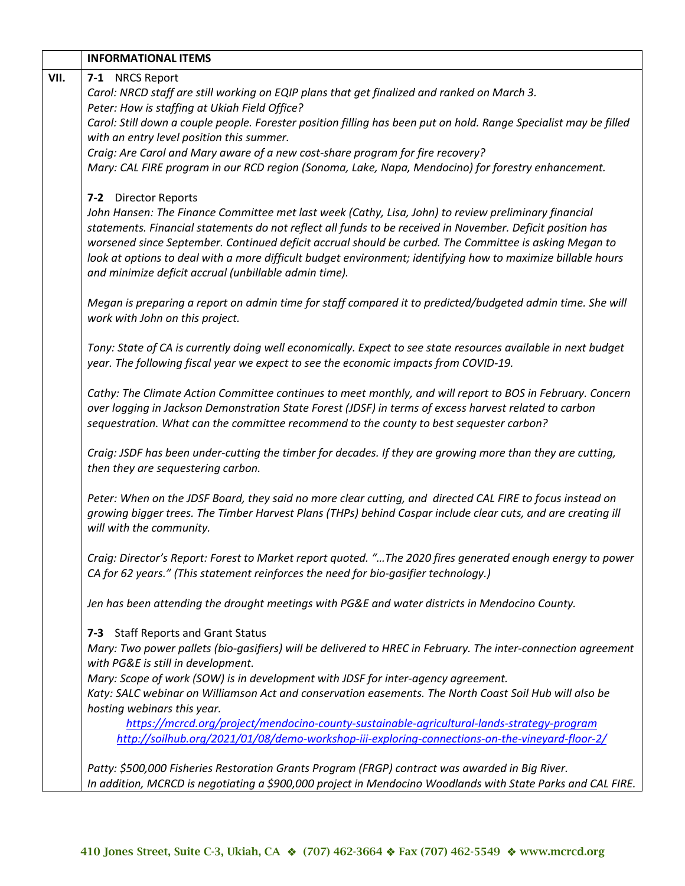|      | <b>INFORMATIONAL ITEMS</b>                                                                                                                                                                        |
|------|---------------------------------------------------------------------------------------------------------------------------------------------------------------------------------------------------|
| VII. | 7-1 NRCS Report                                                                                                                                                                                   |
|      | Carol: NRCD staff are still working on EQIP plans that get finalized and ranked on March 3.                                                                                                       |
|      | Peter: How is staffing at Ukiah Field Office?                                                                                                                                                     |
|      | Carol: Still down a couple people. Forester position filling has been put on hold. Range Specialist may be filled<br>with an entry level position this summer.                                    |
|      | Craig: Are Carol and Mary aware of a new cost-share program for fire recovery?                                                                                                                    |
|      | Mary: CAL FIRE program in our RCD region (Sonoma, Lake, Napa, Mendocino) for forestry enhancement.                                                                                                |
|      |                                                                                                                                                                                                   |
|      | 7-2 Director Reports                                                                                                                                                                              |
|      | John Hansen: The Finance Committee met last week (Cathy, Lisa, John) to review preliminary financial                                                                                              |
|      | statements. Financial statements do not reflect all funds to be received in November. Deficit position has                                                                                        |
|      | worsened since September. Continued deficit accrual should be curbed. The Committee is asking Megan to                                                                                            |
|      | look at options to deal with a more difficult budget environment; identifying how to maximize billable hours                                                                                      |
|      | and minimize deficit accrual (unbillable admin time).                                                                                                                                             |
|      | Megan is preparing a report on admin time for staff compared it to predicted/budgeted admin time. She will                                                                                        |
|      | work with John on this project.                                                                                                                                                                   |
|      |                                                                                                                                                                                                   |
|      | Tony: State of CA is currently doing well economically. Expect to see state resources available in next budget                                                                                    |
|      | year. The following fiscal year we expect to see the economic impacts from COVID-19.                                                                                                              |
|      |                                                                                                                                                                                                   |
|      | Cathy: The Climate Action Committee continues to meet monthly, and will report to BOS in February. Concern                                                                                        |
|      | over logging in Jackson Demonstration State Forest (JDSF) in terms of excess harvest related to carbon                                                                                            |
|      | sequestration. What can the committee recommend to the county to best sequester carbon?                                                                                                           |
|      | Craig: JSDF has been under-cutting the timber for decades. If they are growing more than they are cutting,                                                                                        |
|      | then they are sequestering carbon.                                                                                                                                                                |
|      |                                                                                                                                                                                                   |
|      | Peter: When on the JDSF Board, they said no more clear cutting, and directed CAL FIRE to focus instead on                                                                                         |
|      | growing bigger trees. The Timber Harvest Plans (THPs) behind Caspar include clear cuts, and are creating ill                                                                                      |
|      | will with the community.                                                                                                                                                                          |
|      |                                                                                                                                                                                                   |
|      | Craig: Director's Report: Forest to Market report quoted. "The 2020 fires generated enough energy to power<br>CA for 62 years." (This statement reinforces the need for bio-gasifier technology.) |
|      |                                                                                                                                                                                                   |
|      | Jen has been attending the drought meetings with PG&E and water districts in Mendocino County.                                                                                                    |
|      | 7-3 Staff Reports and Grant Status                                                                                                                                                                |
|      | Mary: Two power pallets (bio-gasifiers) will be delivered to HREC in February. The inter-connection agreement                                                                                     |
|      | with PG&E is still in development.                                                                                                                                                                |
|      | Mary: Scope of work (SOW) is in development with JDSF for inter-agency agreement.                                                                                                                 |
|      | Katy: SALC webinar on Williamson Act and conservation easements. The North Coast Soil Hub will also be                                                                                            |
|      | hosting webinars this year.                                                                                                                                                                       |
|      | https://mcrcd.org/project/mendocino-county-sustainable-agricultural-lands-strategy-program                                                                                                        |
|      | http://soilhub.org/2021/01/08/demo-workshop-iii-exploring-connections-on-the-vineyard-floor-2/                                                                                                    |
|      |                                                                                                                                                                                                   |
|      | Patty: \$500,000 Fisheries Restoration Grants Program (FRGP) contract was awarded in Big River.                                                                                                   |
|      | In addition, MCRCD is negotiating a \$900,000 project in Mendocino Woodlands with State Parks and CAL FIRE.                                                                                       |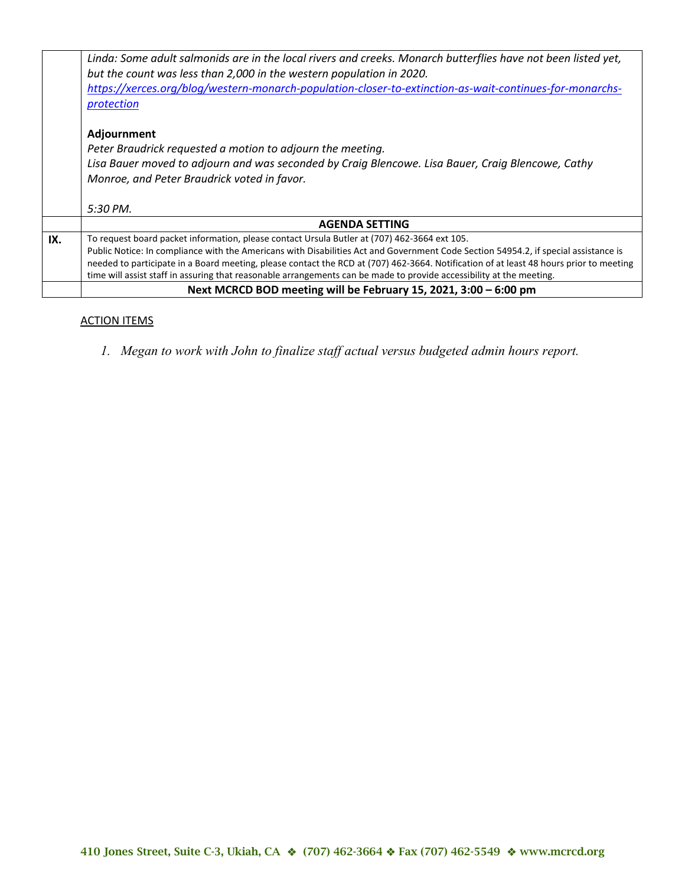|     | Linda: Some adult salmonids are in the local rivers and creeks. Monarch butterflies have not been listed yet,<br>but the count was less than 2,000 in the western population in 2020. |
|-----|---------------------------------------------------------------------------------------------------------------------------------------------------------------------------------------|
|     |                                                                                                                                                                                       |
|     | https://xerces.org/blog/western-monarch-population-closer-to-extinction-as-wait-continues-for-monarchs-                                                                               |
|     | protection                                                                                                                                                                            |
|     |                                                                                                                                                                                       |
|     | Adjournment                                                                                                                                                                           |
|     | Peter Braudrick requested a motion to adjourn the meeting.                                                                                                                            |
|     | Lisa Bauer moved to adjourn and was seconded by Craig Blencowe. Lisa Bauer, Craig Blencowe, Cathy                                                                                     |
|     | Monroe, and Peter Braudrick voted in favor.                                                                                                                                           |
|     |                                                                                                                                                                                       |
|     | 5:30 PM.                                                                                                                                                                              |
|     | <b>AGENDA SETTING</b>                                                                                                                                                                 |
| IX. | To request board packet information, please contact Ursula Butler at (707) 462-3664 ext 105.                                                                                          |
|     | Public Notice: In compliance with the Americans with Disabilities Act and Government Code Section 54954.2, if special assistance is                                                   |
|     | needed to participate in a Board meeting, please contact the RCD at (707) 462-3664. Notification of at least 48 hours prior to meeting                                                |
|     | time will assist staff in assuring that reasonable arrangements can be made to provide accessibility at the meeting.                                                                  |
|     |                                                                                                                                                                                       |
|     | Next MCRCD BOD meeting will be February 15, 2021, 3:00 - 6:00 pm                                                                                                                      |
|     |                                                                                                                                                                                       |

## ACTION ITEMS

*1. Megan to work with John to finalize staff actual versus budgeted admin hours report.*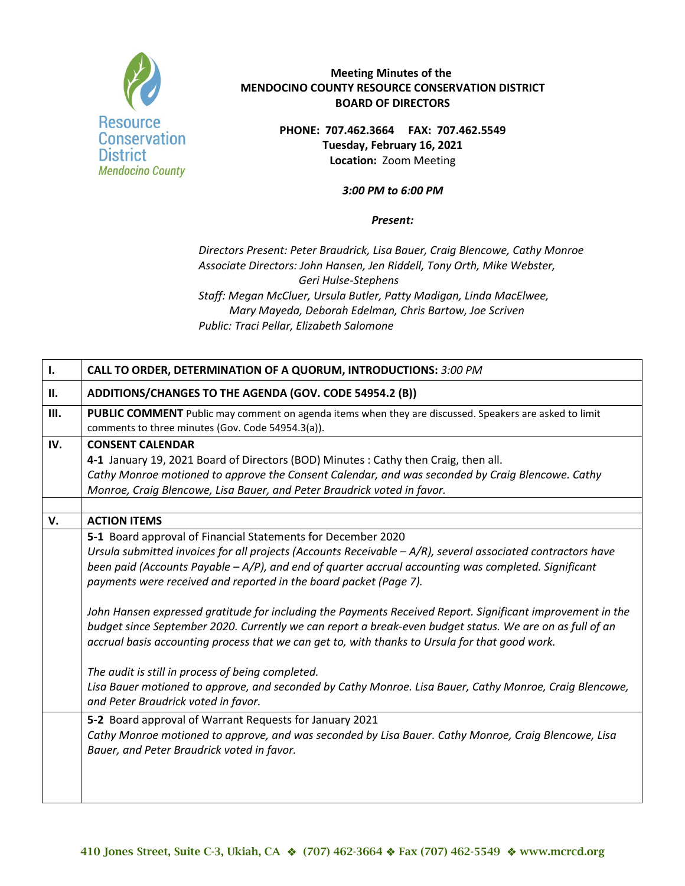

**PHONE: 707.462.3664 FAX: 707.462.5549 Tuesday, February 16, 2021 Location:** Zoom Meeting

#### *3:00 PM to 6:00 PM*

#### *Present:*

*Directors Present: Peter Braudrick, Lisa Bauer, Craig Blencowe, Cathy Monroe Associate Directors: John Hansen, Jen Riddell, Tony Orth, Mike Webster, Geri Hulse-Stephens Staff: Megan McCluer, Ursula Butler, Patty Madigan, Linda MacElwee, Mary Mayeda, Deborah Edelman, Chris Bartow, Joe Scriven Public: Traci Pellar, Elizabeth Salomone*

| $\mathbf{I}$ . | CALL TO ORDER, DETERMINATION OF A QUORUM, INTRODUCTIONS: 3:00 PM                                                                                                                                                        |
|----------------|-------------------------------------------------------------------------------------------------------------------------------------------------------------------------------------------------------------------------|
| П.             | ADDITIONS/CHANGES TO THE AGENDA (GOV. CODE 54954.2 (B))                                                                                                                                                                 |
| III.           | PUBLIC COMMENT Public may comment on agenda items when they are discussed. Speakers are asked to limit<br>comments to three minutes (Gov. Code 54954.3(a)).                                                             |
| IV.            | <b>CONSENT CALENDAR</b>                                                                                                                                                                                                 |
|                | 4-1 January 19, 2021 Board of Directors (BOD) Minutes: Cathy then Craig, then all.                                                                                                                                      |
|                | Cathy Monroe motioned to approve the Consent Calendar, and was seconded by Craig Blencowe. Cathy                                                                                                                        |
|                | Monroe, Craig Blencowe, Lisa Bauer, and Peter Braudrick voted in favor.                                                                                                                                                 |
|                |                                                                                                                                                                                                                         |
| V.             | <b>ACTION ITEMS</b>                                                                                                                                                                                                     |
|                | 5-1 Board approval of Financial Statements for December 2020                                                                                                                                                            |
|                | Ursula submitted invoices for all projects (Accounts Receivable $-A/R$ ), several associated contractors have<br>been paid (Accounts Payable $-A/P$ ), and end of quarter accrual accounting was completed. Significant |
|                | payments were received and reported in the board packet (Page 7).                                                                                                                                                       |
|                |                                                                                                                                                                                                                         |
|                | John Hansen expressed gratitude for including the Payments Received Report. Significant improvement in the                                                                                                              |
|                | budget since September 2020. Currently we can report a break-even budget status. We are on as full of an                                                                                                                |
|                | accrual basis accounting process that we can get to, with thanks to Ursula for that good work.                                                                                                                          |
|                |                                                                                                                                                                                                                         |
|                | The audit is still in process of being completed.                                                                                                                                                                       |
|                | Lisa Bauer motioned to approve, and seconded by Cathy Monroe. Lisa Bauer, Cathy Monroe, Craig Blencowe,                                                                                                                 |
|                | and Peter Braudrick voted in favor.                                                                                                                                                                                     |
|                | 5-2 Board approval of Warrant Requests for January 2021                                                                                                                                                                 |
|                | Cathy Monroe motioned to approve, and was seconded by Lisa Bauer. Cathy Monroe, Craig Blencowe, Lisa                                                                                                                    |
|                | Bauer, and Peter Braudrick voted in favor.                                                                                                                                                                              |
|                |                                                                                                                                                                                                                         |
|                |                                                                                                                                                                                                                         |
|                |                                                                                                                                                                                                                         |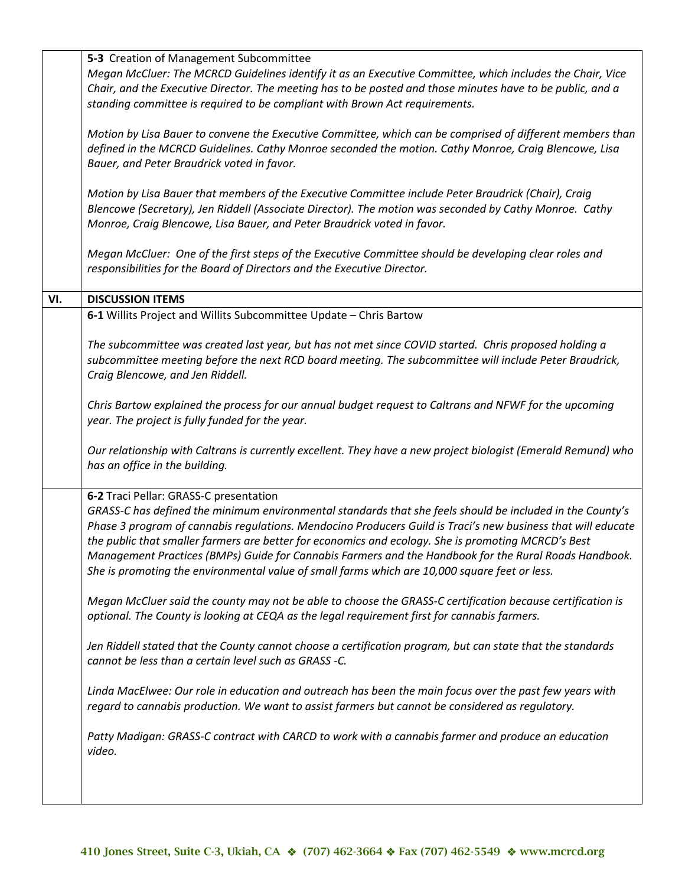|     | 5-3 Creation of Management Subcommittee                                                                       |
|-----|---------------------------------------------------------------------------------------------------------------|
|     | Megan McCluer: The MCRCD Guidelines identify it as an Executive Committee, which includes the Chair, Vice     |
|     | Chair, and the Executive Director. The meeting has to be posted and those minutes have to be public, and a    |
|     | standing committee is required to be compliant with Brown Act requirements.                                   |
|     |                                                                                                               |
|     | Motion by Lisa Bauer to convene the Executive Committee, which can be comprised of different members than     |
|     | defined in the MCRCD Guidelines. Cathy Monroe seconded the motion. Cathy Monroe, Craig Blencowe, Lisa         |
|     |                                                                                                               |
|     | Bauer, and Peter Braudrick voted in favor.                                                                    |
|     |                                                                                                               |
|     | Motion by Lisa Bauer that members of the Executive Committee include Peter Braudrick (Chair), Craig           |
|     | Blencowe (Secretary), Jen Riddell (Associate Director). The motion was seconded by Cathy Monroe. Cathy        |
|     | Monroe, Craig Blencowe, Lisa Bauer, and Peter Braudrick voted in favor.                                       |
|     |                                                                                                               |
|     | Megan McCluer: One of the first steps of the Executive Committee should be developing clear roles and         |
|     | responsibilities for the Board of Directors and the Executive Director.                                       |
|     |                                                                                                               |
| VI. | <b>DISCUSSION ITEMS</b>                                                                                       |
|     | 6-1 Willits Project and Willits Subcommittee Update - Chris Bartow                                            |
|     |                                                                                                               |
|     | The subcommittee was created last year, but has not met since COVID started. Chris proposed holding a         |
|     | subcommittee meeting before the next RCD board meeting. The subcommittee will include Peter Braudrick,        |
|     |                                                                                                               |
|     | Craig Blencowe, and Jen Riddell.                                                                              |
|     |                                                                                                               |
|     | Chris Bartow explained the process for our annual budget request to Caltrans and NFWF for the upcoming        |
|     | year. The project is fully funded for the year.                                                               |
|     |                                                                                                               |
|     | Our relationship with Caltrans is currently excellent. They have a new project biologist (Emerald Remund) who |
|     | has an office in the building.                                                                                |
|     |                                                                                                               |
|     | 6-2 Traci Pellar: GRASS-C presentation                                                                        |
|     | GRASS-C has defined the minimum environmental standards that she feels should be included in the County's     |
|     | Phase 3 program of cannabis regulations. Mendocino Producers Guild is Traci's new business that will educate  |
|     | the public that smaller farmers are better for economics and ecology. She is promoting MCRCD's Best           |
|     | Management Practices (BMPs) Guide for Cannabis Farmers and the Handbook for the Rural Roads Handbook.         |
|     | She is promoting the environmental value of small farms which are 10,000 square feet or less.                 |
|     |                                                                                                               |
|     | Megan McCluer said the county may not be able to choose the GRASS-C certification because certification is    |
|     |                                                                                                               |
|     | optional. The County is looking at CEQA as the legal requirement first for cannabis farmers.                  |
|     |                                                                                                               |
|     | Jen Riddell stated that the County cannot choose a certification program, but can state that the standards    |
|     | cannot be less than a certain level such as GRASS -C.                                                         |
|     |                                                                                                               |
|     | Linda MacElwee: Our role in education and outreach has been the main focus over the past few years with       |
|     | regard to cannabis production. We want to assist farmers but cannot be considered as regulatory.              |
|     |                                                                                                               |
|     | Patty Madigan: GRASS-C contract with CARCD to work with a cannabis farmer and produce an education            |
|     | video.                                                                                                        |
|     |                                                                                                               |
|     |                                                                                                               |
|     |                                                                                                               |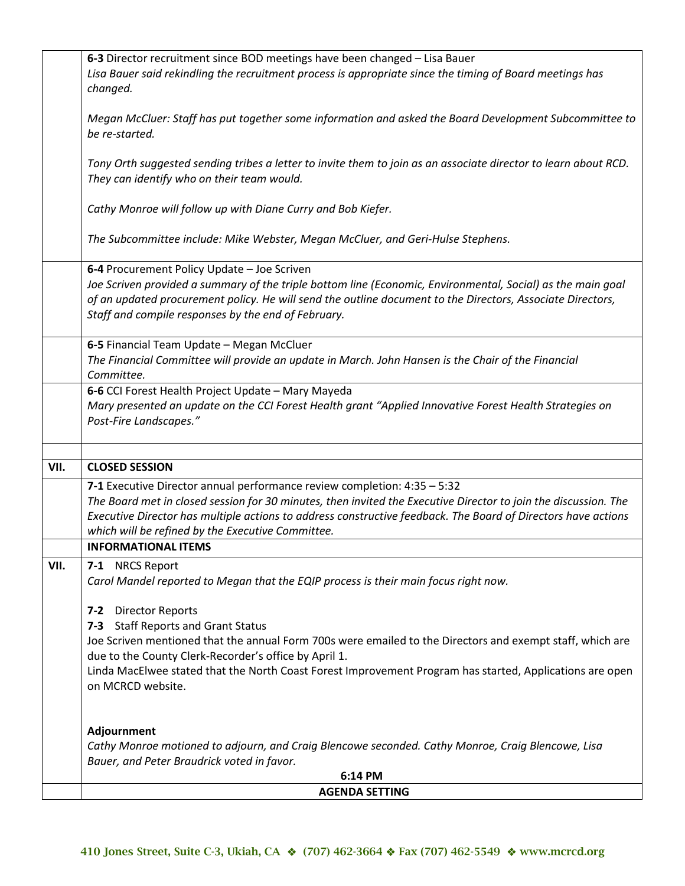|      | 6-3 Director recruitment since BOD meetings have been changed - Lisa Bauer<br>Lisa Bauer said rekindling the recruitment process is appropriate since the timing of Board meetings has<br>changed.                                                                                                                                                                              |
|------|---------------------------------------------------------------------------------------------------------------------------------------------------------------------------------------------------------------------------------------------------------------------------------------------------------------------------------------------------------------------------------|
|      | Megan McCluer: Staff has put together some information and asked the Board Development Subcommittee to<br>be re-started.                                                                                                                                                                                                                                                        |
|      | Tony Orth suggested sending tribes a letter to invite them to join as an associate director to learn about RCD.<br>They can identify who on their team would.                                                                                                                                                                                                                   |
|      | Cathy Monroe will follow up with Diane Curry and Bob Kiefer.                                                                                                                                                                                                                                                                                                                    |
|      | The Subcommittee include: Mike Webster, Megan McCluer, and Geri-Hulse Stephens.                                                                                                                                                                                                                                                                                                 |
|      | 6-4 Procurement Policy Update - Joe Scriven<br>Joe Scriven provided a summary of the triple bottom line (Economic, Environmental, Social) as the main goal<br>of an updated procurement policy. He will send the outline document to the Directors, Associate Directors,<br>Staff and compile responses by the end of February.                                                 |
|      | 6-5 Financial Team Update - Megan McCluer<br>The Financial Committee will provide an update in March. John Hansen is the Chair of the Financial<br>Committee.                                                                                                                                                                                                                   |
|      | 6-6 CCI Forest Health Project Update - Mary Mayeda<br>Mary presented an update on the CCI Forest Health grant "Applied Innovative Forest Health Strategies on<br>Post-Fire Landscapes."                                                                                                                                                                                         |
| VII. | <b>CLOSED SESSION</b>                                                                                                                                                                                                                                                                                                                                                           |
|      | 7-1 Executive Director annual performance review completion: 4:35 - 5:32                                                                                                                                                                                                                                                                                                        |
|      | The Board met in closed session for 30 minutes, then invited the Executive Director to join the discussion. The<br>Executive Director has multiple actions to address constructive feedback. The Board of Directors have actions<br>which will be refined by the Executive Committee.                                                                                           |
|      | <b>INFORMATIONAL ITEMS</b>                                                                                                                                                                                                                                                                                                                                                      |
| VII. | 7-1 NRCS Report<br>Carol Mandel reported to Megan that the EQIP process is their main focus right now.                                                                                                                                                                                                                                                                          |
|      | 7-2 Director Reports<br><b>Staff Reports and Grant Status</b><br>$7 - 3$<br>Joe Scriven mentioned that the annual Form 700s were emailed to the Directors and exempt staff, which are<br>due to the County Clerk-Recorder's office by April 1.<br>Linda MacElwee stated that the North Coast Forest Improvement Program has started, Applications are open<br>on MCRCD website. |
|      | Adjournment<br>Cathy Monroe motioned to adjourn, and Craig Blencowe seconded. Cathy Monroe, Craig Blencowe, Lisa<br>Bauer, and Peter Braudrick voted in favor.                                                                                                                                                                                                                  |
|      | 6:14 PM                                                                                                                                                                                                                                                                                                                                                                         |
|      | <b>AGENDA SETTING</b>                                                                                                                                                                                                                                                                                                                                                           |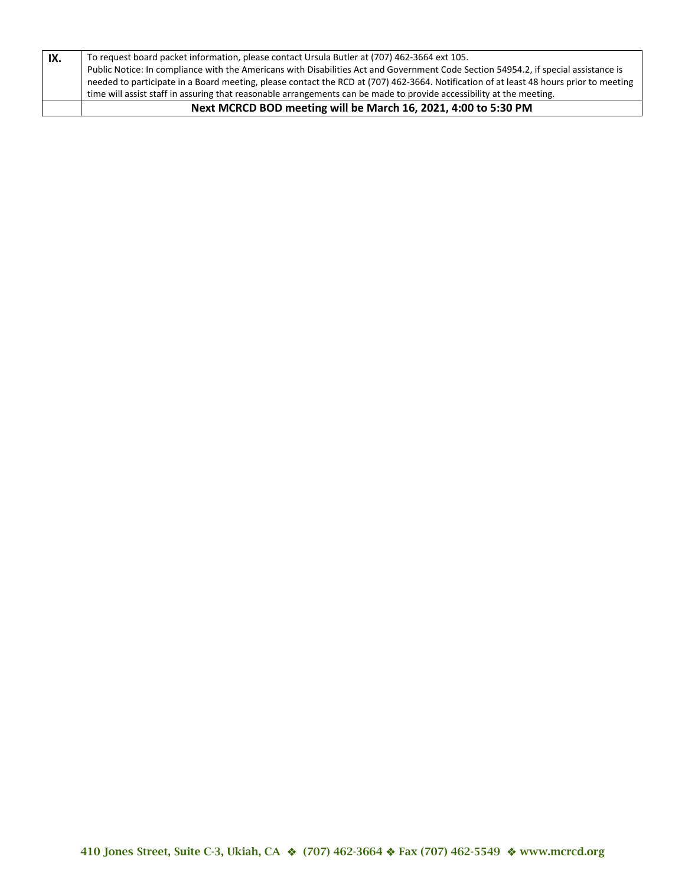| IX. | To request board packet information, please contact Ursula Butler at (707) 462-3664 ext 105.<br>Public Notice: In compliance with the Americans with Disabilities Act and Government Code Section 54954.2, if special assistance is<br>needed to participate in a Board meeting, please contact the RCD at (707) 462-3664. Notification of at least 48 hours prior to meeting |
|-----|-------------------------------------------------------------------------------------------------------------------------------------------------------------------------------------------------------------------------------------------------------------------------------------------------------------------------------------------------------------------------------|
|     | time will assist staff in assuring that reasonable arrangements can be made to provide accessibility at the meeting.                                                                                                                                                                                                                                                          |
|     | Next MCRCD BOD meeting will be March 16, 2021, 4:00 to 5:30 PM                                                                                                                                                                                                                                                                                                                |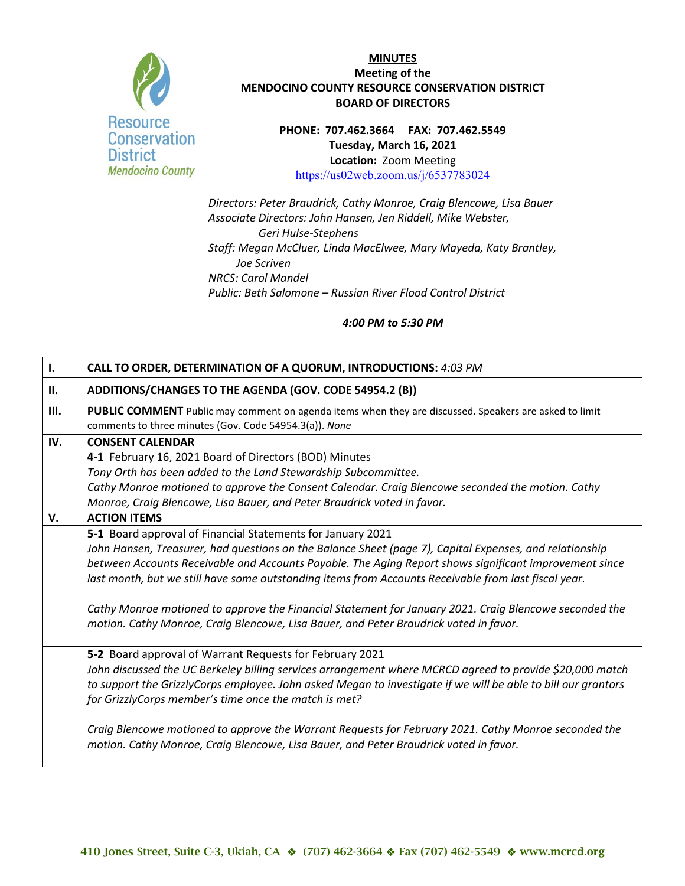

**PHONE: 707.462.3664 FAX: 707.462.5549 Tuesday, March 16, 2021 Location:** Zoom Meeting <https://us02web.zoom.us/j/6537783024>

*Directors: Peter Braudrick, Cathy Monroe, Craig Blencowe, Lisa Bauer Associate Directors: John Hansen, Jen Riddell, Mike Webster, Geri Hulse-Stephens Staff: Megan McCluer, Linda MacElwee, Mary Mayeda, Katy Brantley, Joe Scriven NRCS: Carol Mandel Public: Beth Salomone – Russian River Flood Control District*

| $\mathbf{I}$ . | CALL TO ORDER, DETERMINATION OF A QUORUM, INTRODUCTIONS: 4:03 PM                                                                                                                                               |
|----------------|----------------------------------------------------------------------------------------------------------------------------------------------------------------------------------------------------------------|
| П.             | ADDITIONS/CHANGES TO THE AGENDA (GOV. CODE 54954.2 (B))                                                                                                                                                        |
| III.           | PUBLIC COMMENT Public may comment on agenda items when they are discussed. Speakers are asked to limit<br>comments to three minutes (Gov. Code 54954.3(a)). None                                               |
| IV.            | <b>CONSENT CALENDAR</b>                                                                                                                                                                                        |
|                | 4-1 February 16, 2021 Board of Directors (BOD) Minutes                                                                                                                                                         |
|                | Tony Orth has been added to the Land Stewardship Subcommittee.                                                                                                                                                 |
|                | Cathy Monroe motioned to approve the Consent Calendar. Craig Blencowe seconded the motion. Cathy                                                                                                               |
|                | Monroe, Craig Blencowe, Lisa Bauer, and Peter Braudrick voted in favor.                                                                                                                                        |
| V.             | <b>ACTION ITEMS</b>                                                                                                                                                                                            |
|                | 5-1 Board approval of Financial Statements for January 2021                                                                                                                                                    |
|                | John Hansen, Treasurer, had questions on the Balance Sheet (page 7), Capital Expenses, and relationship                                                                                                        |
|                | between Accounts Receivable and Accounts Payable. The Aging Report shows significant improvement since<br>last month, but we still have some outstanding items from Accounts Receivable from last fiscal year. |
|                | Cathy Monroe motioned to approve the Financial Statement for January 2021. Craig Blencowe seconded the<br>motion. Cathy Monroe, Craig Blencowe, Lisa Bauer, and Peter Braudrick voted in favor.                |
|                | 5-2 Board approval of Warrant Requests for February 2021                                                                                                                                                       |
|                | John discussed the UC Berkeley billing services arrangement where MCRCD agreed to provide \$20,000 match                                                                                                       |
|                | to support the GrizzlyCorps employee. John asked Megan to investigate if we will be able to bill our grantors                                                                                                  |
|                | for GrizzlyCorps member's time once the match is met?                                                                                                                                                          |
|                | Craig Blencowe motioned to approve the Warrant Requests for February 2021. Cathy Monroe seconded the<br>motion. Cathy Monroe, Craig Blencowe, Lisa Bauer, and Peter Braudrick voted in favor.                  |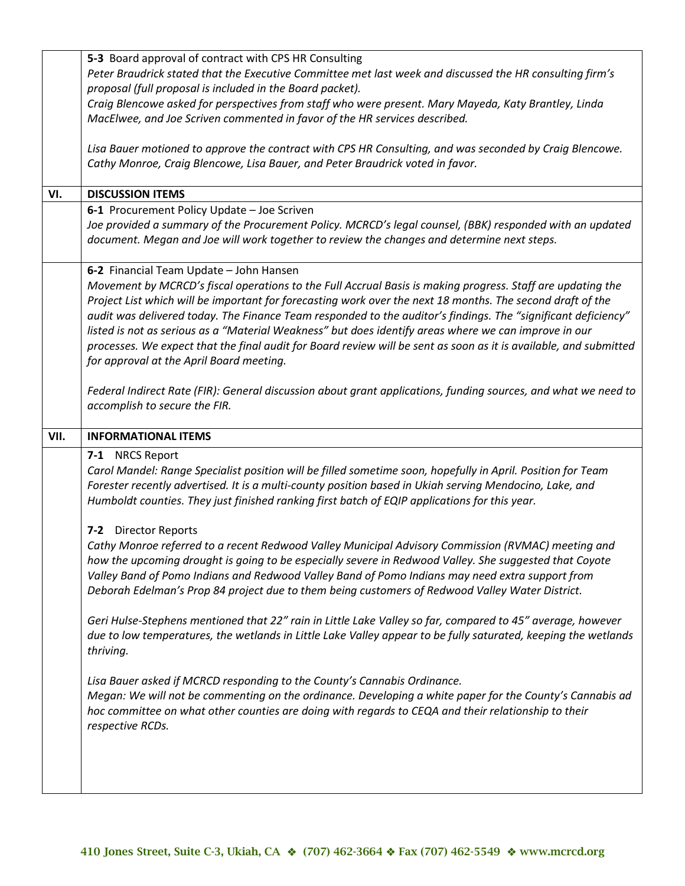|      | 5-3 Board approval of contract with CPS HR Consulting                                                             |
|------|-------------------------------------------------------------------------------------------------------------------|
|      | Peter Braudrick stated that the Executive Committee met last week and discussed the HR consulting firm's          |
|      | proposal (full proposal is included in the Board packet).                                                         |
|      | Craig Blencowe asked for perspectives from staff who were present. Mary Mayeda, Katy Brantley, Linda              |
|      | MacElwee, and Joe Scriven commented in favor of the HR services described.                                        |
|      |                                                                                                                   |
|      | Lisa Bauer motioned to approve the contract with CPS HR Consulting, and was seconded by Craig Blencowe.           |
|      | Cathy Monroe, Craig Blencowe, Lisa Bauer, and Peter Braudrick voted in favor.                                     |
|      |                                                                                                                   |
| VI.  | <b>DISCUSSION ITEMS</b>                                                                                           |
|      | 6-1 Procurement Policy Update - Joe Scriven                                                                       |
|      | Joe provided a summary of the Procurement Policy. MCRCD's legal counsel, (BBK) responded with an updated          |
|      | document. Megan and Joe will work together to review the changes and determine next steps.                        |
|      |                                                                                                                   |
|      | 6-2 Financial Team Update - John Hansen                                                                           |
|      | Movement by MCRCD's fiscal operations to the Full Accrual Basis is making progress. Staff are updating the        |
|      | Project List which will be important for forecasting work over the next 18 months. The second draft of the        |
|      | audit was delivered today. The Finance Team responded to the auditor's findings. The "significant deficiency"     |
|      | listed is not as serious as a "Material Weakness" but does identify areas where we can improve in our             |
|      | processes. We expect that the final audit for Board review will be sent as soon as it is available, and submitted |
|      | for approval at the April Board meeting.                                                                          |
|      |                                                                                                                   |
|      | Federal Indirect Rate (FIR): General discussion about grant applications, funding sources, and what we need to    |
|      | accomplish to secure the FIR.                                                                                     |
|      |                                                                                                                   |
|      |                                                                                                                   |
| VII. | <b>INFORMATIONAL ITEMS</b>                                                                                        |
|      | 7-1 NRCS Report                                                                                                   |
|      | Carol Mandel: Range Specialist position will be filled sometime soon, hopefully in April. Position for Team       |
|      | Forester recently advertised. It is a multi-county position based in Ukiah serving Mendocino, Lake, and           |
|      | Humboldt counties. They just finished ranking first batch of EQIP applications for this year.                     |
|      |                                                                                                                   |
|      | 7-2 Director Reports                                                                                              |
|      | Cathy Monroe referred to a recent Redwood Valley Municipal Advisory Commission (RVMAC) meeting and                |
|      | how the upcoming drought is going to be especially severe in Redwood Valley. She suggested that Coyote            |
|      | Valley Band of Pomo Indians and Redwood Valley Band of Pomo Indians may need extra support from                   |
|      | Deborah Edelman's Prop 84 project due to them being customers of Redwood Valley Water District.                   |
|      |                                                                                                                   |
|      | Geri Hulse-Stephens mentioned that 22" rain in Little Lake Valley so far, compared to 45" average, however        |
|      | due to low temperatures, the wetlands in Little Lake Valley appear to be fully saturated, keeping the wetlands    |
|      | thriving.                                                                                                         |
|      |                                                                                                                   |
|      | Lisa Bauer asked if MCRCD responding to the County's Cannabis Ordinance.                                          |
|      | Megan: We will not be commenting on the ordinance. Developing a white paper for the County's Cannabis ad          |
|      | hoc committee on what other counties are doing with regards to CEQA and their relationship to their               |
|      | respective RCDs.                                                                                                  |
|      |                                                                                                                   |
|      |                                                                                                                   |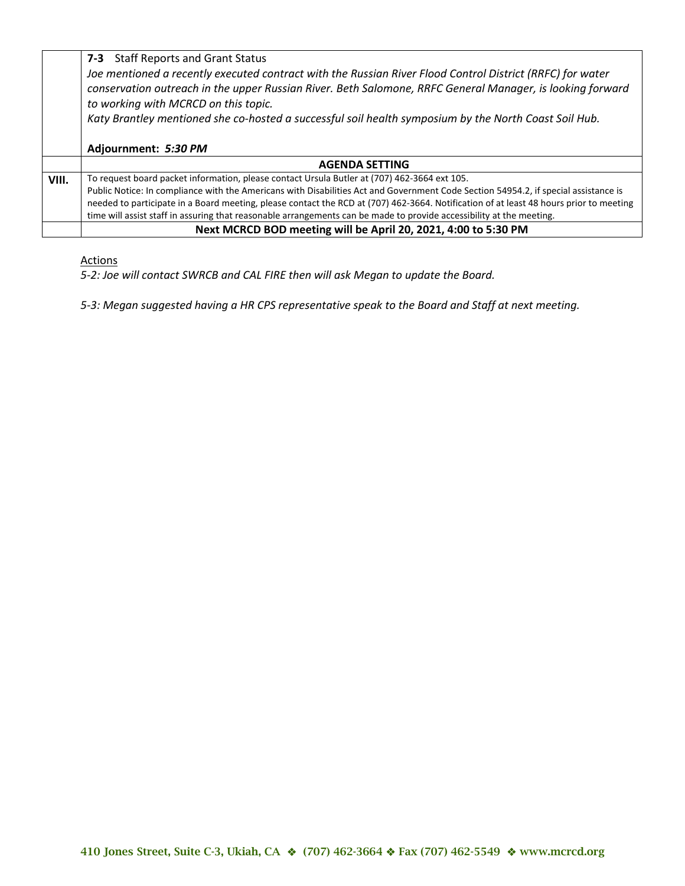|       | 7-3 Staff Reports and Grant Status                                                                                                                |
|-------|---------------------------------------------------------------------------------------------------------------------------------------------------|
|       | Joe mentioned a recently executed contract with the Russian River Flood Control District (RRFC) for water                                         |
|       | conservation outreach in the upper Russian River. Beth Salomone, RRFC General Manager, is looking forward<br>to working with MCRCD on this topic. |
|       | Katy Brantley mentioned she co-hosted a successful soil health symposium by the North Coast Soil Hub.                                             |
|       |                                                                                                                                                   |
|       | Adjournment: 5:30 PM                                                                                                                              |
|       | <b>AGENDA SETTING</b>                                                                                                                             |
| VIII. | To request board packet information, please contact Ursula Butler at (707) 462-3664 ext 105.                                                      |
|       | Public Notice: In compliance with the Americans with Disabilities Act and Government Code Section 54954.2, if special assistance is               |
|       | needed to participate in a Board meeting, please contact the RCD at (707) 462-3664. Notification of at least 48 hours prior to meeting            |
|       | time will assist staff in assuring that reasonable arrangements can be made to provide accessibility at the meeting.                              |
|       | Next MCRCD BOD meeting will be April 20, 2021, 4:00 to 5:30 PM                                                                                    |

#### **Actions**

*5-2: Joe will contact SWRCB and CAL FIRE then will ask Megan to update the Board.*

*5-3: Megan suggested having a HR CPS representative speak to the Board and Staff at next meeting.*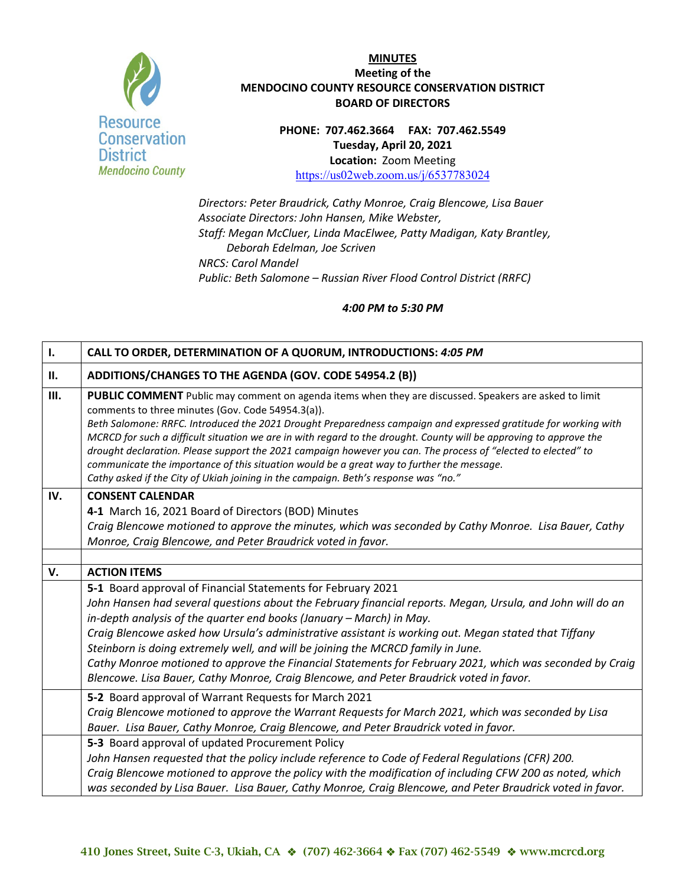

**PHONE: 707.462.3664 FAX: 707.462.5549 Tuesday, April 20, 2021 Location:** Zoom Meeting <https://us02web.zoom.us/j/6537783024>

*Directors: Peter Braudrick, Cathy Monroe, Craig Blencowe, Lisa Bauer Associate Directors: John Hansen, Mike Webster, Staff: Megan McCluer, Linda MacElwee, Patty Madigan, Katy Brantley, Deborah Edelman, Joe Scriven NRCS: Carol Mandel Public: Beth Salomone – Russian River Flood Control District (RRFC)*

| $\mathbf{l}$ . | CALL TO ORDER, DETERMINATION OF A QUORUM, INTRODUCTIONS: 4:05 PM                                                                                                                                                                                                                                                                                                                                                                                                                                                                                                                                                                                                                                          |
|----------------|-----------------------------------------------------------------------------------------------------------------------------------------------------------------------------------------------------------------------------------------------------------------------------------------------------------------------------------------------------------------------------------------------------------------------------------------------------------------------------------------------------------------------------------------------------------------------------------------------------------------------------------------------------------------------------------------------------------|
| П.             | ADDITIONS/CHANGES TO THE AGENDA (GOV. CODE 54954.2 (B))                                                                                                                                                                                                                                                                                                                                                                                                                                                                                                                                                                                                                                                   |
| Ш.             | PUBLIC COMMENT Public may comment on agenda items when they are discussed. Speakers are asked to limit<br>comments to three minutes (Gov. Code 54954.3(a)).<br>Beth Salomone: RRFC. Introduced the 2021 Drought Preparedness campaign and expressed gratitude for working with<br>MCRCD for such a difficult situation we are in with regard to the drought. County will be approving to approve the<br>drought declaration. Please support the 2021 campaign however you can. The process of "elected to elected" to<br>communicate the importance of this situation would be a great way to further the message.<br>Cathy asked if the City of Ukiah joining in the campaign. Beth's response was "no." |
| IV.            | <b>CONSENT CALENDAR</b><br>4-1 March 16, 2021 Board of Directors (BOD) Minutes<br>Craig Blencowe motioned to approve the minutes, which was seconded by Cathy Monroe. Lisa Bauer, Cathy<br>Monroe, Craig Blencowe, and Peter Braudrick voted in favor.                                                                                                                                                                                                                                                                                                                                                                                                                                                    |
| V.             | <b>ACTION ITEMS</b>                                                                                                                                                                                                                                                                                                                                                                                                                                                                                                                                                                                                                                                                                       |
|                | 5-1 Board approval of Financial Statements for February 2021<br>John Hansen had several questions about the February financial reports. Megan, Ursula, and John will do an<br>in-depth analysis of the quarter end books (January - March) in May.<br>Craig Blencowe asked how Ursula's administrative assistant is working out. Megan stated that Tiffany<br>Steinborn is doing extremely well, and will be joining the MCRCD family in June.<br>Cathy Monroe motioned to approve the Financial Statements for February 2021, which was seconded by Craig<br>Blencowe. Lisa Bauer, Cathy Monroe, Craig Blencowe, and Peter Braudrick voted in favor.                                                     |
|                | 5-2 Board approval of Warrant Requests for March 2021<br>Craig Blencowe motioned to approve the Warrant Requests for March 2021, which was seconded by Lisa<br>Bauer. Lisa Bauer, Cathy Monroe, Craig Blencowe, and Peter Braudrick voted in favor.                                                                                                                                                                                                                                                                                                                                                                                                                                                       |
|                | 5-3 Board approval of updated Procurement Policy<br>John Hansen requested that the policy include reference to Code of Federal Regulations (CFR) 200.<br>Craig Blencowe motioned to approve the policy with the modification of including CFW 200 as noted, which<br>was seconded by Lisa Bauer. Lisa Bauer, Cathy Monroe, Craig Blencowe, and Peter Braudrick voted in favor.                                                                                                                                                                                                                                                                                                                            |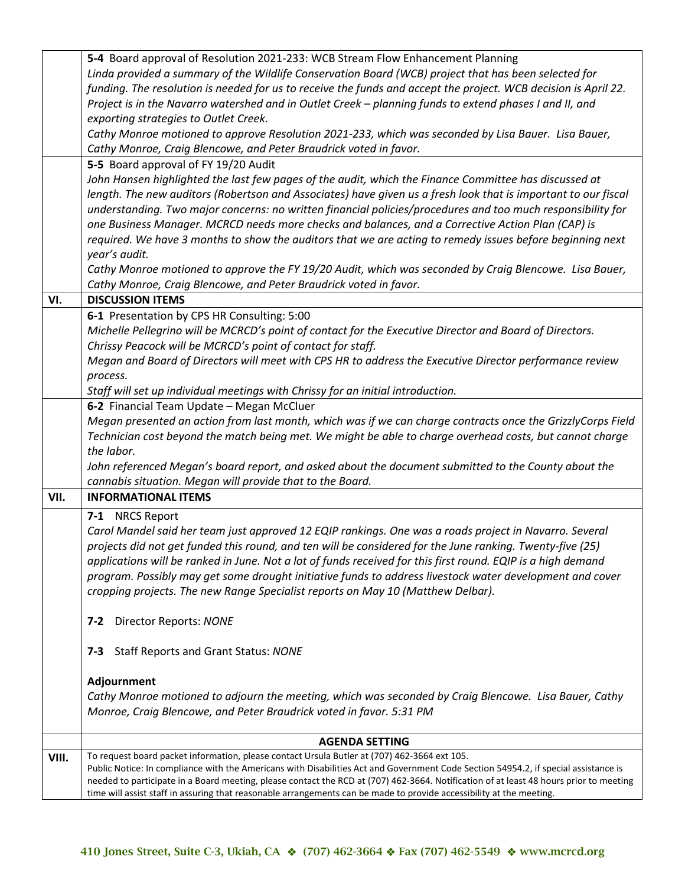|       | 5-4 Board approval of Resolution 2021-233: WCB Stream Flow Enhancement Planning                                                        |
|-------|----------------------------------------------------------------------------------------------------------------------------------------|
|       | Linda provided a summary of the Wildlife Conservation Board (WCB) project that has been selected for                                   |
|       | funding. The resolution is needed for us to receive the funds and accept the project. WCB decision is April 22.                        |
|       | Project is in the Navarro watershed and in Outlet Creek - planning funds to extend phases I and II, and                                |
|       | exporting strategies to Outlet Creek.                                                                                                  |
|       | Cathy Monroe motioned to approve Resolution 2021-233, which was seconded by Lisa Bauer. Lisa Bauer,                                    |
|       | Cathy Monroe, Craig Blencowe, and Peter Braudrick voted in favor.                                                                      |
|       | 5-5 Board approval of FY 19/20 Audit                                                                                                   |
|       | John Hansen highlighted the last few pages of the audit, which the Finance Committee has discussed at                                  |
|       | length. The new auditors (Robertson and Associates) have given us a fresh look that is important to our fiscal                         |
|       | understanding. Two major concerns: no written financial policies/procedures and too much responsibility for                            |
|       | one Business Manager. MCRCD needs more checks and balances, and a Corrective Action Plan (CAP) is                                      |
|       | required. We have 3 months to show the auditors that we are acting to remedy issues before beginning next                              |
|       | year's audit.                                                                                                                          |
|       | Cathy Monroe motioned to approve the FY 19/20 Audit, which was seconded by Craig Blencowe. Lisa Bauer,                                 |
|       | Cathy Monroe, Craig Blencowe, and Peter Braudrick voted in favor.                                                                      |
| VI.   | <b>DISCUSSION ITEMS</b>                                                                                                                |
|       | 6-1 Presentation by CPS HR Consulting: 5:00                                                                                            |
|       | Michelle Pellegrino will be MCRCD's point of contact for the Executive Director and Board of Directors.                                |
|       | Chrissy Peacock will be MCRCD's point of contact for staff.                                                                            |
|       | Megan and Board of Directors will meet with CPS HR to address the Executive Director performance review                                |
|       | process.                                                                                                                               |
|       | Staff will set up individual meetings with Chrissy for an initial introduction.                                                        |
|       | 6-2 Financial Team Update - Megan McCluer                                                                                              |
|       | Megan presented an action from last month, which was if we can charge contracts once the GrizzlyCorps Field                            |
|       | Technician cost beyond the match being met. We might be able to charge overhead costs, but cannot charge                               |
|       | the labor.                                                                                                                             |
|       | John referenced Megan's board report, and asked about the document submitted to the County about the                                   |
|       | cannabis situation. Megan will provide that to the Board.                                                                              |
| VII.  | <b>INFORMATIONAL ITEMS</b>                                                                                                             |
|       | 7-1 NRCS Report                                                                                                                        |
|       | Carol Mandel said her team just approved 12 EQIP rankings. One was a roads project in Navarro. Several                                 |
|       | projects did not get funded this round, and ten will be considered for the June ranking. Twenty-five (25)                              |
|       | applications will be ranked in June. Not a lot of funds received for this first round. EQIP is a high demand                           |
|       | program. Possibly may get some drought initiative funds to address livestock water development and cover                               |
|       | cropping projects. The new Range Specialist reports on May 10 (Matthew Delbar).                                                        |
|       |                                                                                                                                        |
|       | Director Reports: NONE<br>$7 - 2$                                                                                                      |
|       |                                                                                                                                        |
|       | <b>Staff Reports and Grant Status: NONE</b><br>7-3                                                                                     |
|       |                                                                                                                                        |
|       | Adjournment                                                                                                                            |
|       | Cathy Monroe motioned to adjourn the meeting, which was seconded by Craig Blencowe. Lisa Bauer, Cathy                                  |
|       | Monroe, Craig Blencowe, and Peter Braudrick voted in favor. 5:31 PM                                                                    |
|       | <b>AGENDA SETTING</b>                                                                                                                  |
| VIII. | To request board packet information, please contact Ursula Butler at (707) 462-3664 ext 105.                                           |
|       | Public Notice: In compliance with the Americans with Disabilities Act and Government Code Section 54954.2, if special assistance is    |
|       | needed to participate in a Board meeting, please contact the RCD at (707) 462-3664. Notification of at least 48 hours prior to meeting |
|       | time will assist staff in assuring that reasonable arrangements can be made to provide accessibility at the meeting.                   |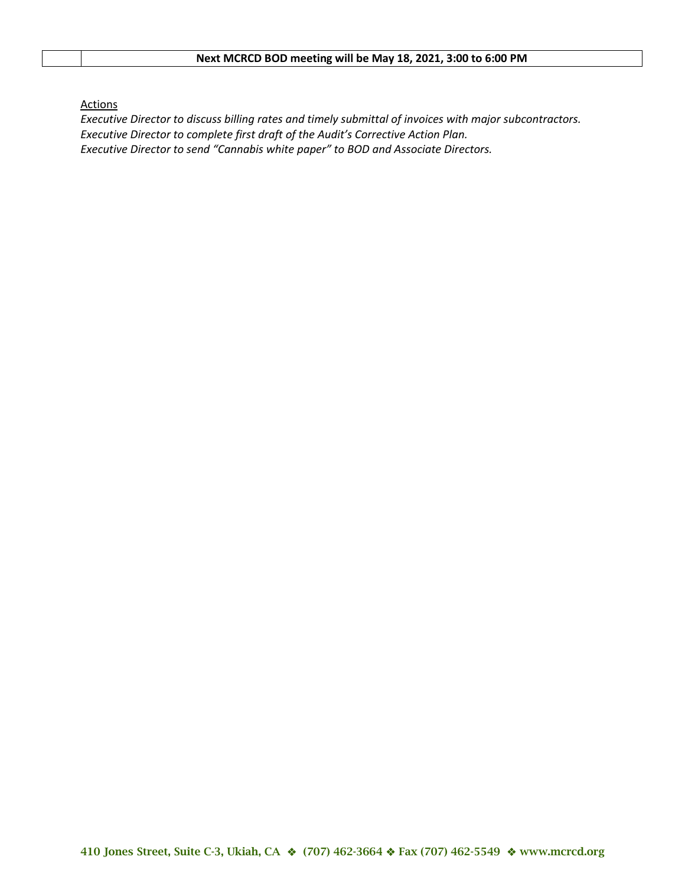# **Next MCRCD BOD meeting will be May 18, 2021, 3:00 to 6:00 PM**

**Actions** 

*Executive Director to discuss billing rates and timely submittal of invoices with major subcontractors. Executive Director to complete first draft of the Audit's Corrective Action Plan. Executive Director to send "Cannabis white paper" to BOD and Associate Directors.*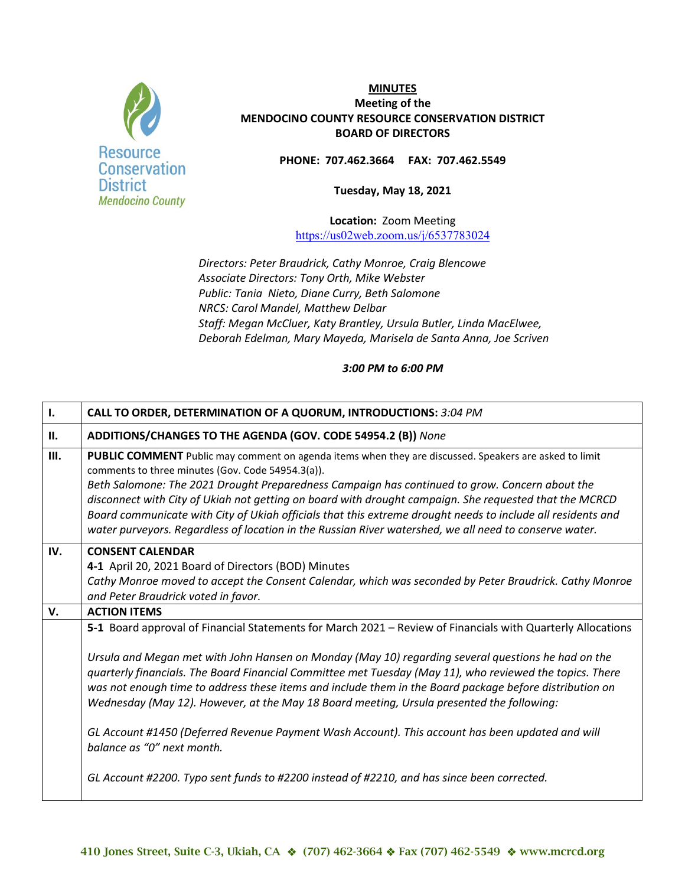

**PHONE: 707.462.3664 FAX: 707.462.5549**

**Tuesday, May 18, 2021** 

**Location:** Zoom Meeting <https://us02web.zoom.us/j/6537783024>

*Directors: Peter Braudrick, Cathy Monroe, Craig Blencowe Associate Directors: Tony Orth, Mike Webster Public: Tania Nieto, Diane Curry, Beth Salomone NRCS: Carol Mandel, Matthew Delbar Staff: Megan McCluer, Katy Brantley, Ursula Butler, Linda MacElwee, Deborah Edelman, Mary Mayeda, Marisela de Santa Anna, Joe Scriven*

*3:00 PM to 6:00 PM*

| Ι.   | CALL TO ORDER, DETERMINATION OF A QUORUM, INTRODUCTIONS: 3:04 PM                                                                                                                                                                                                                                                                                                                                                                                                                                                                                                                                 |
|------|--------------------------------------------------------------------------------------------------------------------------------------------------------------------------------------------------------------------------------------------------------------------------------------------------------------------------------------------------------------------------------------------------------------------------------------------------------------------------------------------------------------------------------------------------------------------------------------------------|
| II.  | ADDITIONS/CHANGES TO THE AGENDA (GOV. CODE 54954.2 (B)) None                                                                                                                                                                                                                                                                                                                                                                                                                                                                                                                                     |
| III. | PUBLIC COMMENT Public may comment on agenda items when they are discussed. Speakers are asked to limit<br>comments to three minutes (Gov. Code 54954.3(a)).<br>Beth Salomone: The 2021 Drought Preparedness Campaign has continued to grow. Concern about the<br>disconnect with City of Ukiah not getting on board with drought campaign. She requested that the MCRCD<br>Board communicate with City of Ukiah officials that this extreme drought needs to include all residents and<br>water purveyors. Regardless of location in the Russian River watershed, we all need to conserve water. |
| IV.  | <b>CONSENT CALENDAR</b><br>4-1 April 20, 2021 Board of Directors (BOD) Minutes<br>Cathy Monroe moved to accept the Consent Calendar, which was seconded by Peter Braudrick. Cathy Monroe<br>and Peter Braudrick voted in favor.                                                                                                                                                                                                                                                                                                                                                                  |
| V.   | <b>ACTION ITEMS</b>                                                                                                                                                                                                                                                                                                                                                                                                                                                                                                                                                                              |
|      | 5-1 Board approval of Financial Statements for March 2021 - Review of Financials with Quarterly Allocations                                                                                                                                                                                                                                                                                                                                                                                                                                                                                      |
|      | Ursula and Megan met with John Hansen on Monday (May 10) regarding several questions he had on the<br>quarterly financials. The Board Financial Committee met Tuesday (May 11), who reviewed the topics. There<br>was not enough time to address these items and include them in the Board package before distribution on<br>Wednesday (May 12). However, at the May 18 Board meeting, Ursula presented the following:                                                                                                                                                                           |
|      | GL Account #1450 (Deferred Revenue Payment Wash Account). This account has been updated and will<br>balance as "0" next month.                                                                                                                                                                                                                                                                                                                                                                                                                                                                   |
|      | GL Account #2200. Typo sent funds to #2200 instead of #2210, and has since been corrected.                                                                                                                                                                                                                                                                                                                                                                                                                                                                                                       |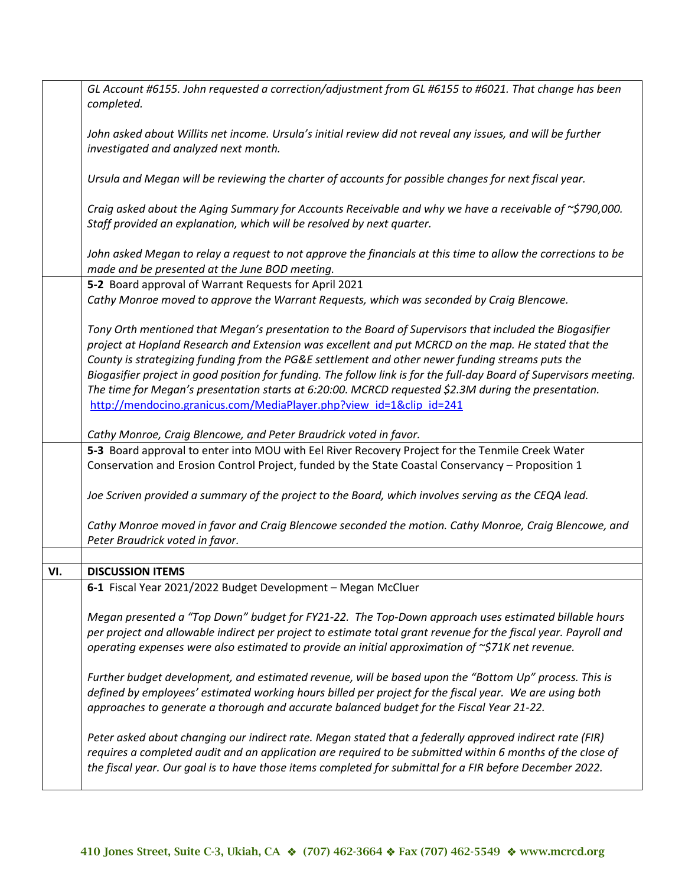|     | GL Account #6155. John requested a correction/adjustment from GL #6155 to #6021. That change has been                                                                                                                                                                                                                              |
|-----|------------------------------------------------------------------------------------------------------------------------------------------------------------------------------------------------------------------------------------------------------------------------------------------------------------------------------------|
|     | completed.                                                                                                                                                                                                                                                                                                                         |
|     | John asked about Willits net income. Ursula's initial review did not reveal any issues, and will be further                                                                                                                                                                                                                        |
|     | investigated and analyzed next month.                                                                                                                                                                                                                                                                                              |
|     | Ursula and Megan will be reviewing the charter of accounts for possible changes for next fiscal year.                                                                                                                                                                                                                              |
|     | Craig asked about the Aging Summary for Accounts Receivable and why we have a receivable of $\sim$ \$790,000.                                                                                                                                                                                                                      |
|     | Staff provided an explanation, which will be resolved by next quarter.                                                                                                                                                                                                                                                             |
|     | John asked Megan to relay a request to not approve the financials at this time to allow the corrections to be                                                                                                                                                                                                                      |
|     | made and be presented at the June BOD meeting.                                                                                                                                                                                                                                                                                     |
|     | 5-2 Board approval of Warrant Requests for April 2021                                                                                                                                                                                                                                                                              |
|     | Cathy Monroe moved to approve the Warrant Requests, which was seconded by Craig Blencowe.                                                                                                                                                                                                                                          |
|     | Tony Orth mentioned that Megan's presentation to the Board of Supervisors that included the Biogasifier                                                                                                                                                                                                                            |
|     | project at Hopland Research and Extension was excellent and put MCRCD on the map. He stated that the                                                                                                                                                                                                                               |
|     | County is strategizing funding from the PG&E settlement and other newer funding streams puts the                                                                                                                                                                                                                                   |
|     | Biogasifier project in good position for funding. The follow link is for the full-day Board of Supervisors meeting.                                                                                                                                                                                                                |
|     | The time for Megan's presentation starts at 6:20:00. MCRCD requested \$2.3M during the presentation.                                                                                                                                                                                                                               |
|     | http://mendocino.granicus.com/MediaPlayer.php?view_id=1&clip_id=241                                                                                                                                                                                                                                                                |
|     | Cathy Monroe, Craig Blencowe, and Peter Braudrick voted in favor.                                                                                                                                                                                                                                                                  |
|     | 5-3 Board approval to enter into MOU with Eel River Recovery Project for the Tenmile Creek Water                                                                                                                                                                                                                                   |
|     | Conservation and Erosion Control Project, funded by the State Coastal Conservancy - Proposition 1                                                                                                                                                                                                                                  |
|     | Joe Scriven provided a summary of the project to the Board, which involves serving as the CEQA lead.                                                                                                                                                                                                                               |
|     | Cathy Monroe moved in favor and Craig Blencowe seconded the motion. Cathy Monroe, Craig Blencowe, and<br>Peter Braudrick voted in favor.                                                                                                                                                                                           |
|     |                                                                                                                                                                                                                                                                                                                                    |
| VI. | <b>DISCUSSION ITEMS</b>                                                                                                                                                                                                                                                                                                            |
|     | 6-1 Fiscal Year 2021/2022 Budget Development - Megan McCluer                                                                                                                                                                                                                                                                       |
|     | Megan presented a "Top Down" budget for FY21-22. The Top-Down approach uses estimated billable hours<br>per project and allowable indirect per project to estimate total grant revenue for the fiscal year. Payroll and<br>operating expenses were also estimated to provide an initial approximation of ~\$71K net revenue.       |
|     | Further budget development, and estimated revenue, will be based upon the "Bottom Up" process. This is<br>defined by employees' estimated working hours billed per project for the fiscal year. We are using both<br>approaches to generate a thorough and accurate balanced budget for the Fiscal Year 21-22.                     |
|     | Peter asked about changing our indirect rate. Megan stated that a federally approved indirect rate (FIR)<br>requires a completed audit and an application are required to be submitted within 6 months of the close of<br>the fiscal year. Our goal is to have those items completed for submittal for a FIR before December 2022. |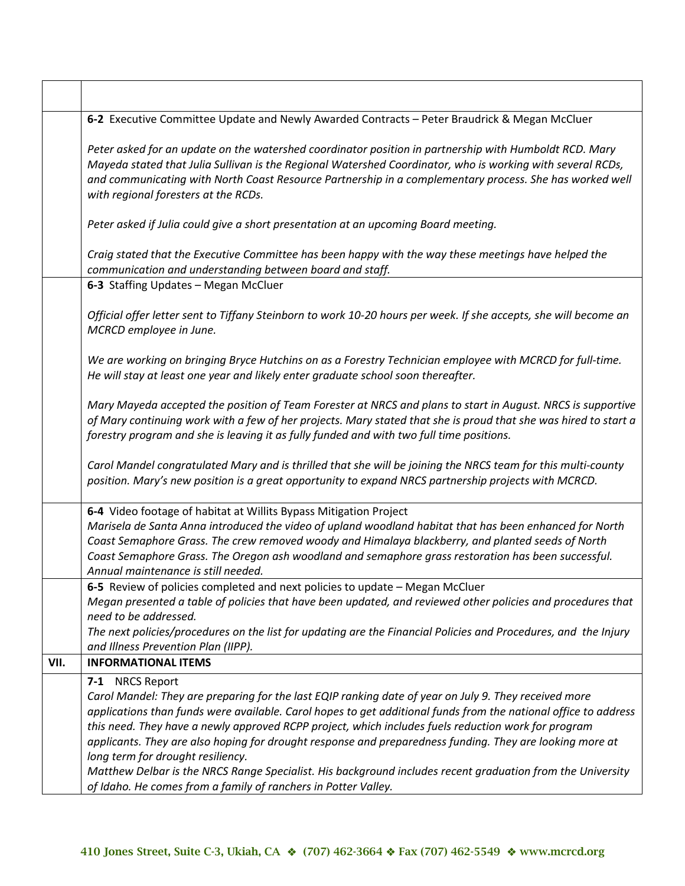| 6-2 Executive Committee Update and Newly Awarded Contracts - Peter Braudrick & Megan McCluer<br>Peter asked for an update on the watershed coordinator position in partnership with Humboldt RCD. Mary<br>Mayeda stated that Julia Sullivan is the Regional Watershed Coordinator, who is working with several RCDs,<br>and communicating with North Coast Resource Partnership in a complementary process. She has worked well                                                                                                                                                                                                                                                     |
|-------------------------------------------------------------------------------------------------------------------------------------------------------------------------------------------------------------------------------------------------------------------------------------------------------------------------------------------------------------------------------------------------------------------------------------------------------------------------------------------------------------------------------------------------------------------------------------------------------------------------------------------------------------------------------------|
|                                                                                                                                                                                                                                                                                                                                                                                                                                                                                                                                                                                                                                                                                     |
| with regional foresters at the RCDs.                                                                                                                                                                                                                                                                                                                                                                                                                                                                                                                                                                                                                                                |
| Peter asked if Julia could give a short presentation at an upcoming Board meeting.                                                                                                                                                                                                                                                                                                                                                                                                                                                                                                                                                                                                  |
| Craig stated that the Executive Committee has been happy with the way these meetings have helped the<br>communication and understanding between board and staff.                                                                                                                                                                                                                                                                                                                                                                                                                                                                                                                    |
| 6-3 Staffing Updates - Megan McCluer                                                                                                                                                                                                                                                                                                                                                                                                                                                                                                                                                                                                                                                |
| Official offer letter sent to Tiffany Steinborn to work 10-20 hours per week. If she accepts, she will become an<br>MCRCD employee in June.                                                                                                                                                                                                                                                                                                                                                                                                                                                                                                                                         |
| We are working on bringing Bryce Hutchins on as a Forestry Technician employee with MCRCD for full-time.<br>He will stay at least one year and likely enter graduate school soon thereafter.                                                                                                                                                                                                                                                                                                                                                                                                                                                                                        |
| Mary Mayeda accepted the position of Team Forester at NRCS and plans to start in August. NRCS is supportive<br>of Mary continuing work with a few of her projects. Mary stated that she is proud that she was hired to start a<br>forestry program and she is leaving it as fully funded and with two full time positions.                                                                                                                                                                                                                                                                                                                                                          |
| Carol Mandel congratulated Mary and is thrilled that she will be joining the NRCS team for this multi-county<br>position. Mary's new position is a great opportunity to expand NRCS partnership projects with MCRCD.                                                                                                                                                                                                                                                                                                                                                                                                                                                                |
| 6-4 Video footage of habitat at Willits Bypass Mitigation Project<br>Marisela de Santa Anna introduced the video of upland woodland habitat that has been enhanced for North<br>Coast Semaphore Grass. The crew removed woody and Himalaya blackberry, and planted seeds of North<br>Coast Semaphore Grass. The Oregon ash woodland and semaphore grass restoration has been successful.<br>Annual maintenance is still needed.                                                                                                                                                                                                                                                     |
| 6-5 Review of policies completed and next policies to update - Megan McCluer                                                                                                                                                                                                                                                                                                                                                                                                                                                                                                                                                                                                        |
| Megan presented a table of policies that have been updated, and reviewed other policies and procedures that<br>need to be addressed.                                                                                                                                                                                                                                                                                                                                                                                                                                                                                                                                                |
| The next policies/procedures on the list for updating are the Financial Policies and Procedures, and the Injury<br>and Illness Prevention Plan (IIPP).                                                                                                                                                                                                                                                                                                                                                                                                                                                                                                                              |
| <b>INFORMATIONAL ITEMS</b>                                                                                                                                                                                                                                                                                                                                                                                                                                                                                                                                                                                                                                                          |
| 7-1 NRCS Report<br>Carol Mandel: They are preparing for the last EQIP ranking date of year on July 9. They received more<br>applications than funds were available. Carol hopes to get additional funds from the national office to address<br>this need. They have a newly approved RCPP project, which includes fuels reduction work for program<br>applicants. They are also hoping for drought response and preparedness funding. They are looking more at<br>long term for drought resiliency.<br>Matthew Delbar is the NRCS Range Specialist. His background includes recent graduation from the University<br>of Idaho. He comes from a family of ranchers in Potter Valley. |
|                                                                                                                                                                                                                                                                                                                                                                                                                                                                                                                                                                                                                                                                                     |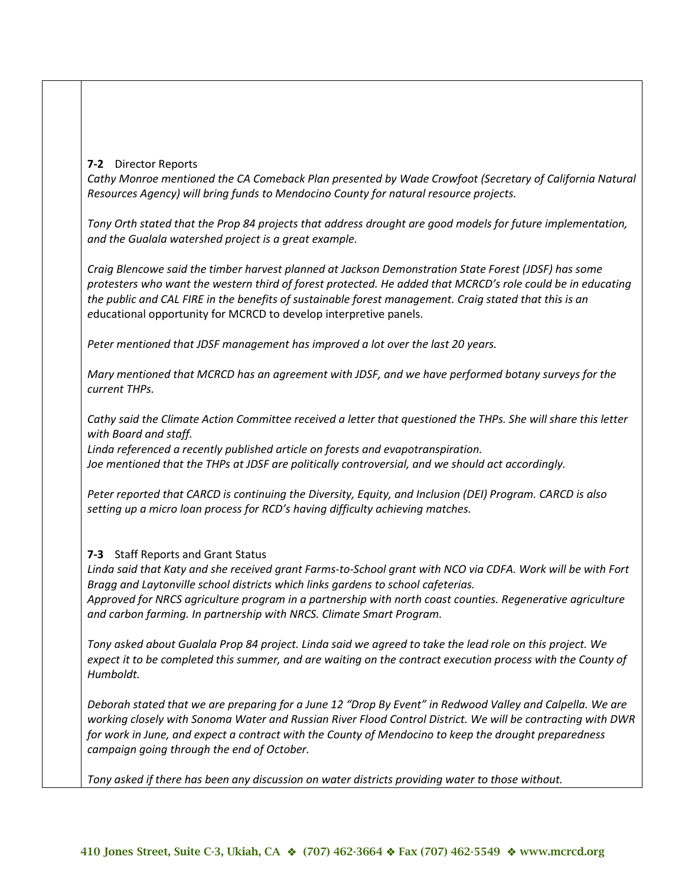## **7-2** Director Reports

*Cathy Monroe mentioned the CA Comeback Plan presented by Wade Crowfoot (Secretary of California Natural Resources Agency) will bring funds to Mendocino County for natural resource projects.*

*Tony Orth stated that the Prop 84 projects that address drought are good models for future implementation, and the Gualala watershed project is a great example.* 

*Craig Blencowe said the timber harvest planned at Jackson Demonstration State Forest (JDSF) has some protesters who want the western third of forest protected. He added that MCRCD's role could be in educating the public and CAL FIRE in the benefits of sustainable forest management. Craig stated that this is an e*ducational opportunity for MCRCD to develop interpretive panels.

*Peter mentioned that JDSF management has improved a lot over the last 20 years.*

*Mary mentioned that MCRCD has an agreement with JDSF, and we have performed botany surveys for the current THPs.*

*Cathy said the Climate Action Committee received a letter that questioned the THPs. She will share this letter with Board and staff.* 

*Linda referenced a recently published article on forests and evapotranspiration. Joe mentioned that the THPs at JDSF are politically controversial, and we should act accordingly.*

*Peter reported that CARCD is continuing the Diversity, Equity, and Inclusion (DEI) Program. CARCD is also setting up a micro loan process for RCD's having difficulty achieving matches.*

# **7-3** Staff Reports and Grant Status

*Linda said that Katy and she received grant Farms-to-School grant with NCO via CDFA. Work will be with Fort Bragg and Laytonville school districts which links gardens to school cafeterias.*

*Approved for NRCS agriculture program in a partnership with north coast counties. Regenerative agriculture and carbon farming. In partnership with NRCS. Climate Smart Program.*

*Tony asked about Gualala Prop 84 project. Linda said we agreed to take the lead role on this project. We expect it to be completed this summer, and are waiting on the contract execution process with the County of Humboldt.*

*Deborah stated that we are preparing for a June 12 "Drop By Event" in Redwood Valley and Calpella. We are working closely with Sonoma Water and Russian River Flood Control District. We will be contracting with DWR for work in June, and expect a contract with the County of Mendocino to keep the drought preparedness campaign going through the end of October.*

*Tony asked if there has been any discussion on water districts providing water to those without.*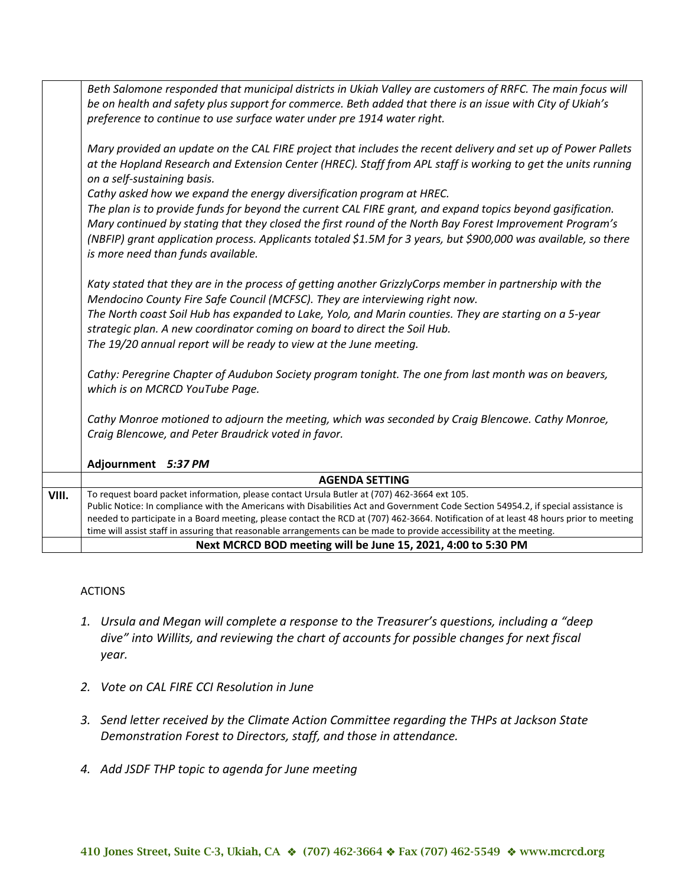|       | Beth Salomone responded that municipal districts in Ukiah Valley are customers of RRFC. The main focus will<br>be on health and safety plus support for commerce. Beth added that there is an issue with City of Ukiah's<br>preference to continue to use surface water under pre 1914 water right.                                                                             |
|-------|---------------------------------------------------------------------------------------------------------------------------------------------------------------------------------------------------------------------------------------------------------------------------------------------------------------------------------------------------------------------------------|
|       |                                                                                                                                                                                                                                                                                                                                                                                 |
|       | Mary provided an update on the CAL FIRE project that includes the recent delivery and set up of Power Pallets<br>at the Hopland Research and Extension Center (HREC). Staff from APL staff is working to get the units running<br>on a self-sustaining basis.                                                                                                                   |
|       | Cathy asked how we expand the energy diversification program at HREC.                                                                                                                                                                                                                                                                                                           |
|       | The plan is to provide funds for beyond the current CAL FIRE grant, and expand topics beyond gasification.<br>Mary continued by stating that they closed the first round of the North Bay Forest Improvement Program's<br>(NBFIP) grant application process. Applicants totaled \$1.5M for 3 years, but \$900,000 was available, so there<br>is more need than funds available. |
|       | Katy stated that they are in the process of getting another GrizzlyCorps member in partnership with the<br>Mendocino County Fire Safe Council (MCFSC). They are interviewing right now.                                                                                                                                                                                         |
|       | The North coast Soil Hub has expanded to Lake, Yolo, and Marin counties. They are starting on a 5-year<br>strategic plan. A new coordinator coming on board to direct the Soil Hub.                                                                                                                                                                                             |
|       | The 19/20 annual report will be ready to view at the June meeting.                                                                                                                                                                                                                                                                                                              |
|       | Cathy: Peregrine Chapter of Audubon Society program tonight. The one from last month was on beavers,<br>which is on MCRCD YouTube Page.                                                                                                                                                                                                                                         |
|       | Cathy Monroe motioned to adjourn the meeting, which was seconded by Craig Blencowe. Cathy Monroe,                                                                                                                                                                                                                                                                               |
|       | Craig Blencowe, and Peter Braudrick voted in favor.                                                                                                                                                                                                                                                                                                                             |
|       | Adjournment 5:37 PM                                                                                                                                                                                                                                                                                                                                                             |
|       | <b>AGENDA SETTING</b>                                                                                                                                                                                                                                                                                                                                                           |
| VIII. | To request board packet information, please contact Ursula Butler at (707) 462-3664 ext 105.                                                                                                                                                                                                                                                                                    |
|       | Public Notice: In compliance with the Americans with Disabilities Act and Government Code Section 54954.2, if special assistance is                                                                                                                                                                                                                                             |
|       | needed to participate in a Board meeting, please contact the RCD at (707) 462-3664. Notification of at least 48 hours prior to meeting<br>time will assist staff in assuring that reasonable arrangements can be made to provide accessibility at the meeting.                                                                                                                  |
|       | Next MCRCD BOD meeting will be June 15, 2021, 4:00 to 5:30 PM                                                                                                                                                                                                                                                                                                                   |
|       |                                                                                                                                                                                                                                                                                                                                                                                 |

# ACTIONS

- *1. Ursula and Megan will complete a response to the Treasurer's questions, including a "deep dive" into Willits, and reviewing the chart of accounts for possible changes for next fiscal year.*
- *2. Vote on CAL FIRE CCI Resolution in June*
- *3. Send letter received by the Climate Action Committee regarding the THPs at Jackson State Demonstration Forest to Directors, staff, and those in attendance.*
- *4. Add JSDF THP topic to agenda for June meeting*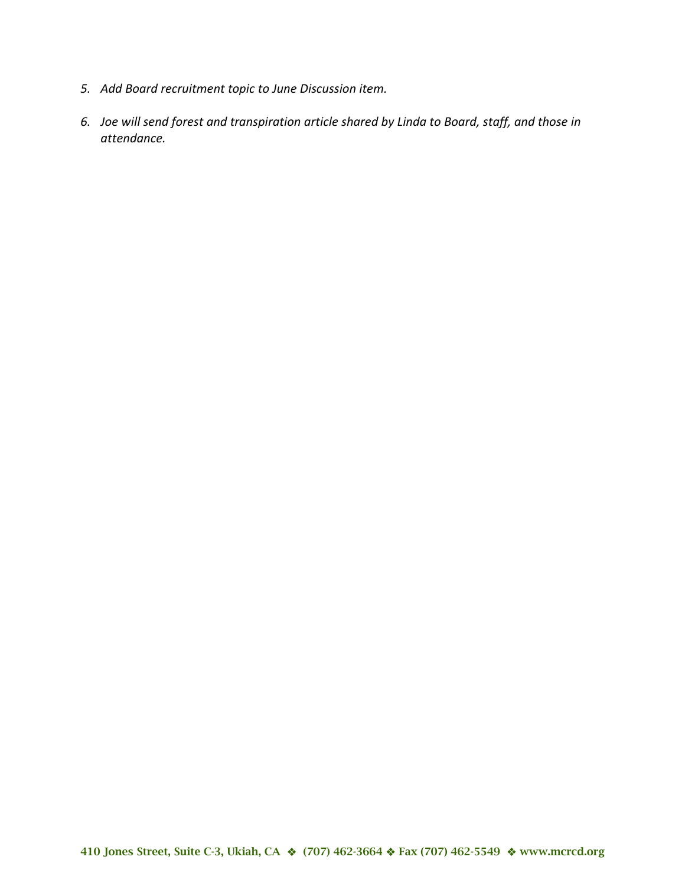- *5. Add Board recruitment topic to June Discussion item.*
- *6. Joe will send forest and transpiration article shared by Linda to Board, staff, and those in attendance.*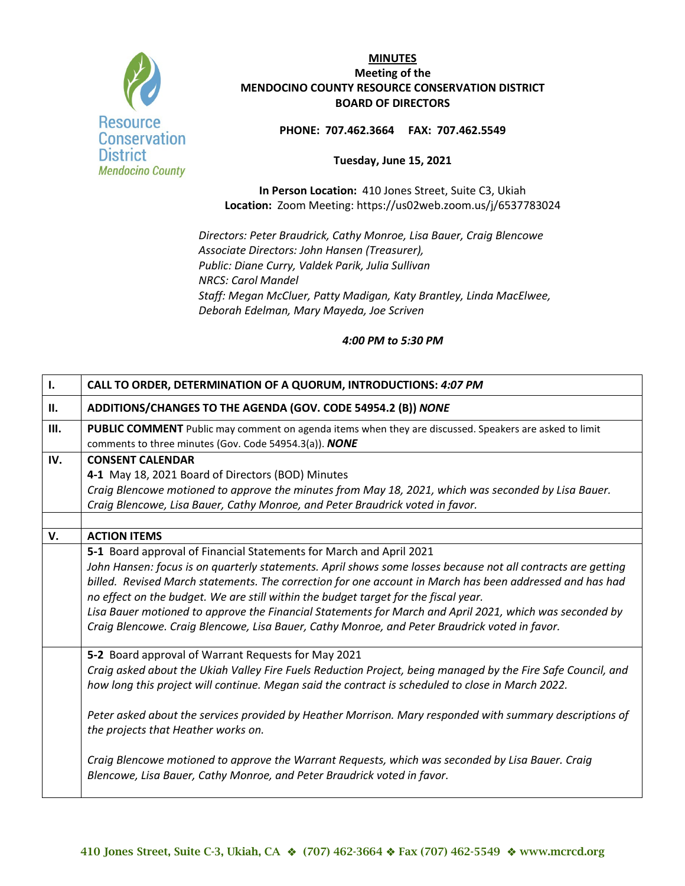

#### **PHONE: 707.462.3664 FAX: 707.462.5549**

#### **Tuesday, June 15, 2021**

**In Person Location:** 410 Jones Street, Suite C3, Ukiah **Location:** Zoom Meeting:<https://us02web.zoom.us/j/6537783024>

*Directors: Peter Braudrick, Cathy Monroe, Lisa Bauer, Craig Blencowe Associate Directors: John Hansen (Treasurer), Public: Diane Curry, Valdek Parik, Julia Sullivan NRCS: Carol Mandel Staff: Megan McCluer, Patty Madigan, Katy Brantley, Linda MacElwee, Deborah Edelman, Mary Mayeda, Joe Scriven*

| $\mathbf{I}$ . | CALL TO ORDER, DETERMINATION OF A QUORUM, INTRODUCTIONS: 4:07 PM                                                                                                                                                  |
|----------------|-------------------------------------------------------------------------------------------------------------------------------------------------------------------------------------------------------------------|
| Н.             | ADDITIONS/CHANGES TO THE AGENDA (GOV. CODE 54954.2 (B)) NONE                                                                                                                                                      |
| Ш.             | <b>PUBLIC COMMENT</b> Public may comment on agenda items when they are discussed. Speakers are asked to limit<br>comments to three minutes (Gov. Code 54954.3(a)). NONE                                           |
| IV.            | <b>CONSENT CALENDAR</b>                                                                                                                                                                                           |
|                | 4-1 May 18, 2021 Board of Directors (BOD) Minutes                                                                                                                                                                 |
|                | Craig Blencowe motioned to approve the minutes from May 18, 2021, which was seconded by Lisa Bauer.                                                                                                               |
|                | Craig Blencowe, Lisa Bauer, Cathy Monroe, and Peter Braudrick voted in favor.                                                                                                                                     |
|                |                                                                                                                                                                                                                   |
| V.             | <b>ACTION ITEMS</b>                                                                                                                                                                                               |
|                | 5-1 Board approval of Financial Statements for March and April 2021                                                                                                                                               |
|                | John Hansen: focus is on quarterly statements. April shows some losses because not all contracts are getting                                                                                                      |
|                | billed. Revised March statements. The correction for one account in March has been addressed and has had<br>no effect on the budget. We are still within the budget target for the fiscal year.                   |
|                | Lisa Bauer motioned to approve the Financial Statements for March and April 2021, which was seconded by                                                                                                           |
|                | Craig Blencowe. Craig Blencowe, Lisa Bauer, Cathy Monroe, and Peter Braudrick voted in favor.                                                                                                                     |
|                |                                                                                                                                                                                                                   |
|                | 5-2 Board approval of Warrant Requests for May 2021                                                                                                                                                               |
|                | Craig asked about the Ukiah Valley Fire Fuels Reduction Project, being managed by the Fire Safe Council, and<br>how long this project will continue. Megan said the contract is scheduled to close in March 2022. |
|                | Peter asked about the services provided by Heather Morrison. Mary responded with summary descriptions of<br>the projects that Heather works on.                                                                   |
|                | Craig Blencowe motioned to approve the Warrant Requests, which was seconded by Lisa Bauer. Craig<br>Blencowe, Lisa Bauer, Cathy Monroe, and Peter Braudrick voted in favor.                                       |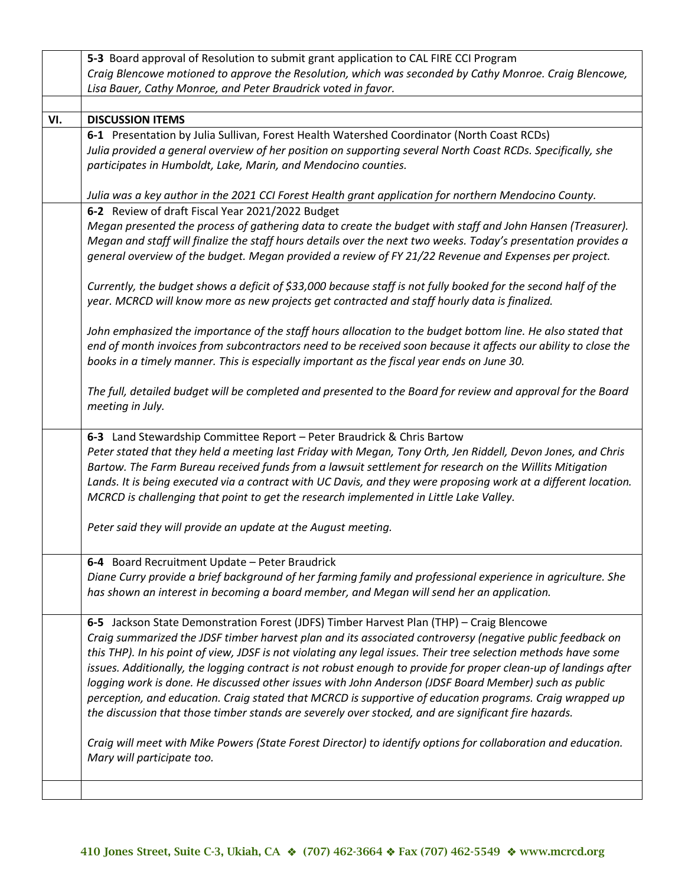|     | 5-3 Board approval of Resolution to submit grant application to CAL FIRE CCI Program                                                                                                                                                                                                                                                                                                                                                                                                                                                                                                                                                                                                                                                                                      |
|-----|---------------------------------------------------------------------------------------------------------------------------------------------------------------------------------------------------------------------------------------------------------------------------------------------------------------------------------------------------------------------------------------------------------------------------------------------------------------------------------------------------------------------------------------------------------------------------------------------------------------------------------------------------------------------------------------------------------------------------------------------------------------------------|
|     | Craig Blencowe motioned to approve the Resolution, which was seconded by Cathy Monroe. Craig Blencowe,                                                                                                                                                                                                                                                                                                                                                                                                                                                                                                                                                                                                                                                                    |
|     | Lisa Bauer, Cathy Monroe, and Peter Braudrick voted in favor.                                                                                                                                                                                                                                                                                                                                                                                                                                                                                                                                                                                                                                                                                                             |
|     |                                                                                                                                                                                                                                                                                                                                                                                                                                                                                                                                                                                                                                                                                                                                                                           |
| VI. | <b>DISCUSSION ITEMS</b>                                                                                                                                                                                                                                                                                                                                                                                                                                                                                                                                                                                                                                                                                                                                                   |
|     | 6-1 Presentation by Julia Sullivan, Forest Health Watershed Coordinator (North Coast RCDs)<br>Julia provided a general overview of her position on supporting several North Coast RCDs. Specifically, she<br>participates in Humboldt, Lake, Marin, and Mendocino counties.                                                                                                                                                                                                                                                                                                                                                                                                                                                                                               |
|     | Julia was a key author in the 2021 CCI Forest Health grant application for northern Mendocino County.                                                                                                                                                                                                                                                                                                                                                                                                                                                                                                                                                                                                                                                                     |
|     | 6-2 Review of draft Fiscal Year 2021/2022 Budget<br>Megan presented the process of gathering data to create the budget with staff and John Hansen (Treasurer).                                                                                                                                                                                                                                                                                                                                                                                                                                                                                                                                                                                                            |
|     | Megan and staff will finalize the staff hours details over the next two weeks. Today's presentation provides a<br>general overview of the budget. Megan provided a review of FY 21/22 Revenue and Expenses per project.                                                                                                                                                                                                                                                                                                                                                                                                                                                                                                                                                   |
|     | Currently, the budget shows a deficit of \$33,000 because staff is not fully booked for the second half of the<br>year. MCRCD will know more as new projects get contracted and staff hourly data is finalized.                                                                                                                                                                                                                                                                                                                                                                                                                                                                                                                                                           |
|     | John emphasized the importance of the staff hours allocation to the budget bottom line. He also stated that<br>end of month invoices from subcontractors need to be received soon because it affects our ability to close the<br>books in a timely manner. This is especially important as the fiscal year ends on June 30.                                                                                                                                                                                                                                                                                                                                                                                                                                               |
|     | The full, detailed budget will be completed and presented to the Board for review and approval for the Board<br>meeting in July.                                                                                                                                                                                                                                                                                                                                                                                                                                                                                                                                                                                                                                          |
|     | 6-3 Land Stewardship Committee Report - Peter Braudrick & Chris Bartow<br>Peter stated that they held a meeting last Friday with Megan, Tony Orth, Jen Riddell, Devon Jones, and Chris<br>Bartow. The Farm Bureau received funds from a lawsuit settlement for research on the Willits Mitigation<br>Lands. It is being executed via a contract with UC Davis, and they were proposing work at a different location.<br>MCRCD is challenging that point to get the research implemented in Little Lake Valley.                                                                                                                                                                                                                                                            |
|     | Peter said they will provide an update at the August meeting.                                                                                                                                                                                                                                                                                                                                                                                                                                                                                                                                                                                                                                                                                                             |
|     | 6-4 Board Recruitment Update - Peter Braudrick<br>Diane Curry provide a brief background of her farming family and professional experience in agriculture. She<br>has shown an interest in becoming a board member, and Megan will send her an application.                                                                                                                                                                                                                                                                                                                                                                                                                                                                                                               |
|     | 6-5 Jackson State Demonstration Forest (JDFS) Timber Harvest Plan (THP) - Craig Blencowe<br>Craig summarized the JDSF timber harvest plan and its associated controversy (negative public feedback on<br>this THP). In his point of view, JDSF is not violating any legal issues. Their tree selection methods have some<br>issues. Additionally, the logging contract is not robust enough to provide for proper clean-up of landings after<br>logging work is done. He discussed other issues with John Anderson (JDSF Board Member) such as public<br>perception, and education. Craig stated that MCRCD is supportive of education programs. Craig wrapped up<br>the discussion that those timber stands are severely over stocked, and are significant fire hazards. |
|     | Craig will meet with Mike Powers (State Forest Director) to identify options for collaboration and education.<br>Mary will participate too.                                                                                                                                                                                                                                                                                                                                                                                                                                                                                                                                                                                                                               |
|     |                                                                                                                                                                                                                                                                                                                                                                                                                                                                                                                                                                                                                                                                                                                                                                           |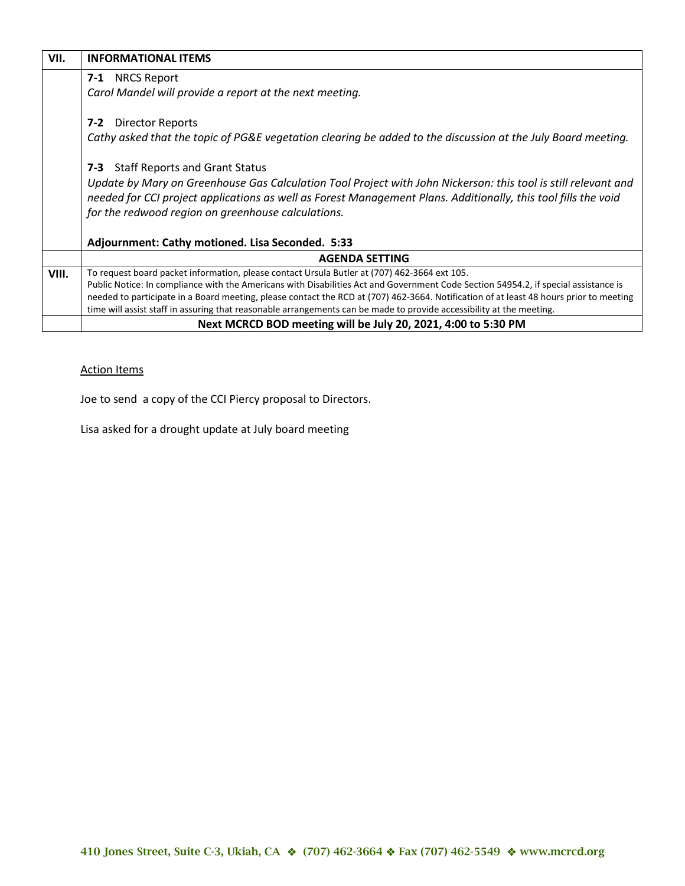| VII.  | <b>INFORMATIONAL ITEMS</b>                                                                                                             |
|-------|----------------------------------------------------------------------------------------------------------------------------------------|
|       | <b>7-1</b> NRCS Report                                                                                                                 |
|       | Carol Mandel will provide a report at the next meeting.                                                                                |
|       | <b>Director Reports</b><br>7-2                                                                                                         |
|       | Cathy asked that the topic of PG&E vegetation clearing be added to the discussion at the July Board meeting.                           |
|       | <b>Staff Reports and Grant Status</b><br>7-3                                                                                           |
|       | Update by Mary on Greenhouse Gas Calculation Tool Project with John Nickerson: this tool is still relevant and                         |
|       | needed for CCI project applications as well as Forest Management Plans. Additionally, this tool fills the void                         |
|       | for the redwood region on greenhouse calculations.                                                                                     |
|       | Adjournment: Cathy motioned. Lisa Seconded. 5:33                                                                                       |
|       | <b>AGENDA SETTING</b>                                                                                                                  |
| VIII. | To request board packet information, please contact Ursula Butler at (707) 462-3664 ext 105.                                           |
|       | Public Notice: In compliance with the Americans with Disabilities Act and Government Code Section 54954.2, if special assistance is    |
|       | needed to participate in a Board meeting, please contact the RCD at (707) 462-3664. Notification of at least 48 hours prior to meeting |
|       | time will assist staff in assuring that reasonable arrangements can be made to provide accessibility at the meeting.                   |
|       | Next MCRCD BOD meeting will be July 20, 2021, 4:00 to 5:30 PM                                                                          |

# Action Items

Joe to send a copy of the CCI Piercy proposal to Directors.

Lisa asked for a drought update at July board meeting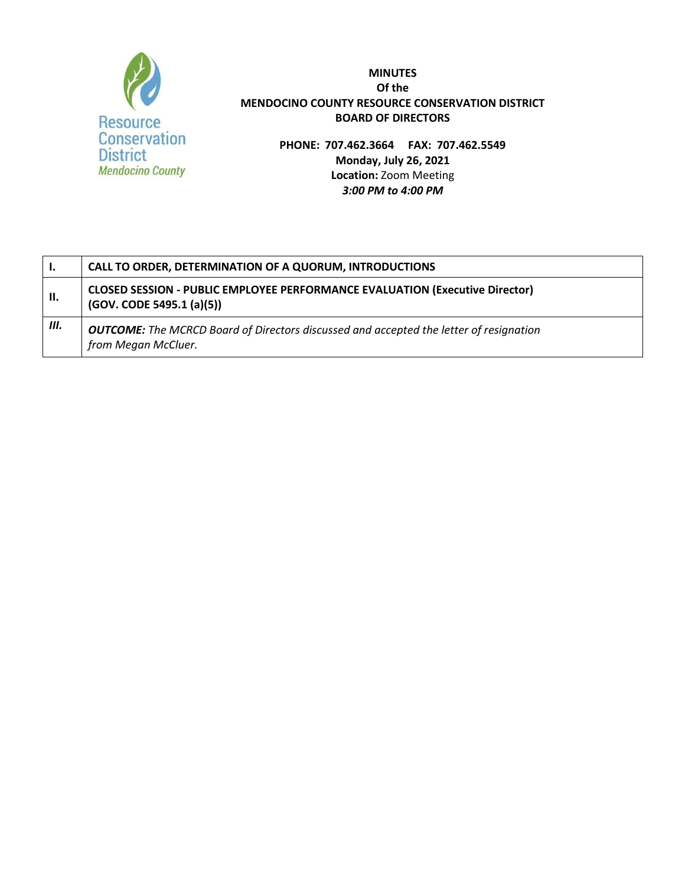

**PHONE: 707.462.3664 FAX: 707.462.5549 Monday, July 26, 2021 Location:** Zoom Meeting *3:00 PM to 4:00 PM*

| <b>I.</b>  | CALL TO ORDER, DETERMINATION OF A QUORUM, INTRODUCTIONS                                                              |
|------------|----------------------------------------------------------------------------------------------------------------------|
| <b>II.</b> | <b>CLOSED SESSION - PUBLIC EMPLOYEE PERFORMANCE EVALUATION (Executive Director)</b><br>(GOV. CODE 5495.1 (a)(5))     |
| Ш.         | <b>OUTCOME:</b> The MCRCD Board of Directors discussed and accepted the letter of resignation<br>from Megan McCluer. |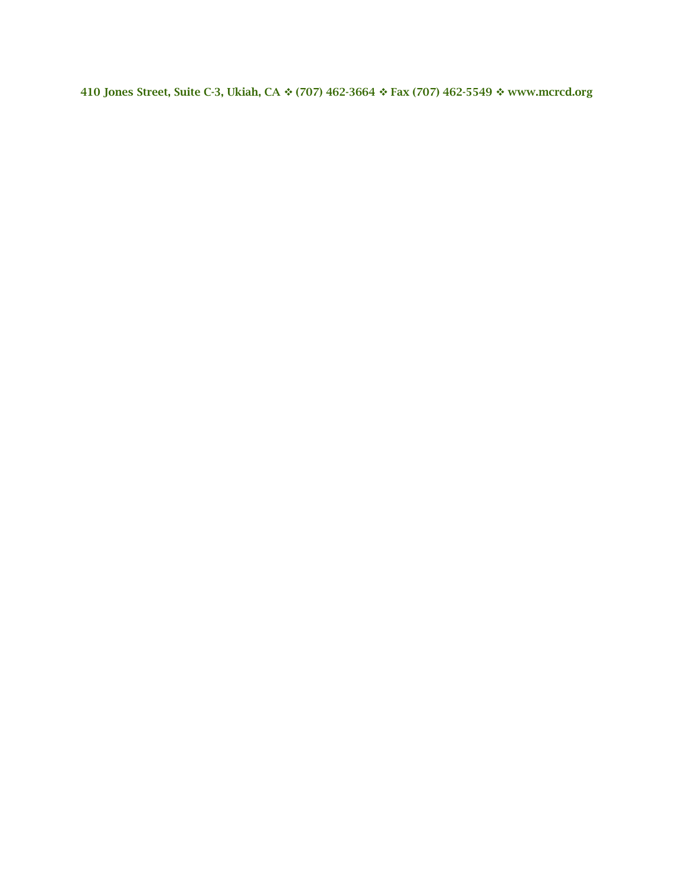410 Jones Street, Suite C-3, Ukiah, CA  $\div$  (707) 462-3664  $\div$  Fax (707) 462-5549  $\div$  [www.mcrcd.org](http://www.mcrcd.org/)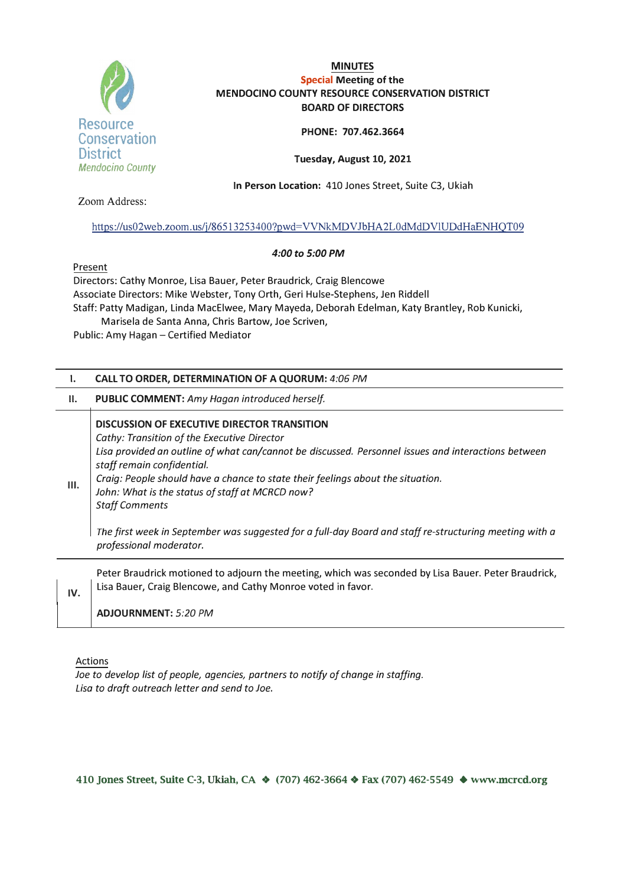

#### **PHONE: 707.462.3664**

**Tuesday, August 10, 2021** 

**In Person Location:.** 410 Jones Street, Suite C3, Ukiah

Zoom Address:

#### https :/ /us02web.zoom. us/i/86513 253400?pwd= VVNkMDVJbHA2L0dMdD VlUDdHaENHQT09

#### *4:00 to 5:00 PM*

Present

Directors: Cathy Monroe, Lisa Bauer, Peter Braudrick, Craig Blencowe Associate Directors: Mike Webster, Tony Orth, Geri Hulse-Stephens, Jen Riddell Staff: Patty Madigan, Linda MacElwee, Mary Mayeda, Deborah Edelman, Katy Brantley, Rob Kunicki, Marisela de Santa Anna, Chris Bartow, Joe Scriven,

Public: Amy Hagan - Certified Mediator

#### **I. CALL TO ORDER, DETERMINATION OF A QUORUM:** *4:06 PM*

## **II. PUBLIC COMMENT:** *Amy Hagan introduced herself*

# **DISCUSSION OF EXECUTIVE DIRECTOR TRANSITION**  *Cathy: Transition of the Executive Director Lisa provided an outline of what can/cannot be discussed. Personnel issues and interactions between staff remain confidential.*  **111.** *Craig: People should have a chance to state their feelings about the situation. John: What is the status of staff at MCRCD now? Staff Comments The first week in September was suggested for a full-day Board and staff re-structuring meeting with a professional moderator.*

Peter Braudrick motioned to adjourn the meeting, which was seconded by Lisa Bauer. Peter Braudrick, **IV.** | Lisa Bauer, Craig Blencowe, and Cathy Monroe voted in favor.

**ADJOURNMENT:** *5:20 PM* 

#### Actions

*Joe to develop list of people, agencies, partners to notify of change in staffing. Lisa to draft outreach letter and send to Joe.* 

**410 Jones Street, Suite C-3, Ukiah, CA ❖ (707) 462-3664 ❖ Fax (707) 462-5549 ♦ www.mcrcd.org**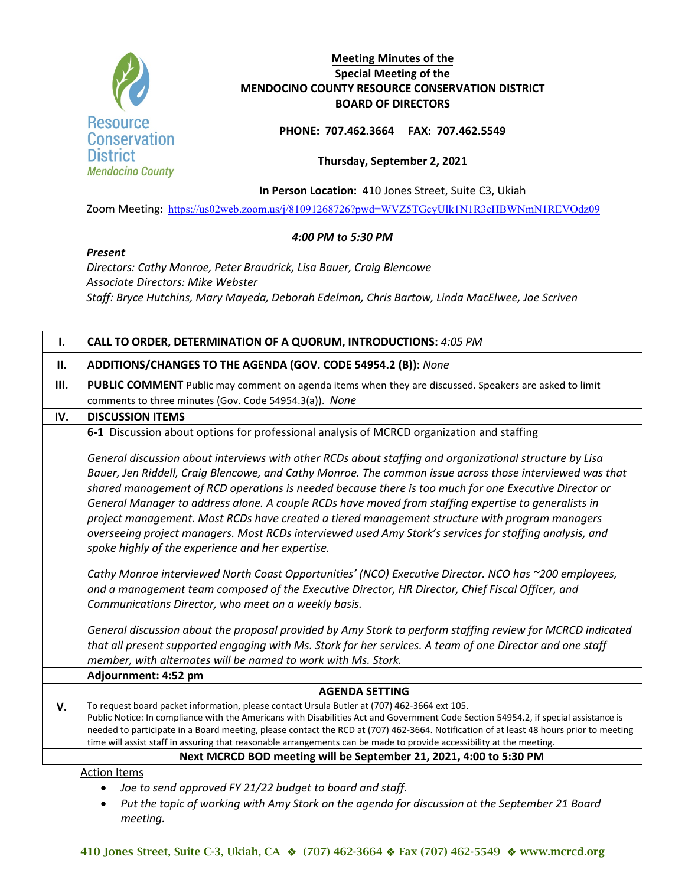

# **Meeting Minutes of the Special Meeting of the MENDOCINO COUNTY RESOURCE CONSERVATION DISTRICT BOARD OF DIRECTORS**

**PHONE: 707.462.3664 FAX: 707.462.5549**

## **Thursday, September 2, 2021**

**In Person Location:** 410 Jones Street, Suite C3, Ukiah

Zoom Meeting: <https://us02web.zoom.us/j/81091268726?pwd=WVZ5TGcyUlk1N1R3cHBWNmN1REVOdz09>

# *4:00 PM to 5:30 PM*

*Present*

*Directors: Cathy Monroe, Peter Braudrick, Lisa Bauer, Craig Blencowe Associate Directors: Mike Webster Staff: Bryce Hutchins, Mary Mayeda, Deborah Edelman, Chris Bartow, Linda MacElwee, Joe Scriven*

| Ι.  | CALL TO ORDER, DETERMINATION OF A QUORUM, INTRODUCTIONS: 4:05 PM                                                                                                                                                                                                                                                          |
|-----|---------------------------------------------------------------------------------------------------------------------------------------------------------------------------------------------------------------------------------------------------------------------------------------------------------------------------|
| II. | ADDITIONS/CHANGES TO THE AGENDA (GOV. CODE 54954.2 (B)): None                                                                                                                                                                                                                                                             |
| Ш.  | <b>PUBLIC COMMENT</b> Public may comment on agenda items when they are discussed. Speakers are asked to limit                                                                                                                                                                                                             |
|     | comments to three minutes (Gov. Code 54954.3(a)). None                                                                                                                                                                                                                                                                    |
| IV. | <b>DISCUSSION ITEMS</b>                                                                                                                                                                                                                                                                                                   |
|     | 6-1 Discussion about options for professional analysis of MCRCD organization and staffing                                                                                                                                                                                                                                 |
|     | General discussion about interviews with other RCDs about staffing and organizational structure by Lisa                                                                                                                                                                                                                   |
|     | Bauer, Jen Riddell, Craig Blencowe, and Cathy Monroe. The common issue across those interviewed was that<br>shared management of RCD operations is needed because there is too much for one Executive Director or<br>General Manager to address alone. A couple RCDs have moved from staffing expertise to generalists in |
|     | project management. Most RCDs have created a tiered management structure with program managers<br>overseeing project managers. Most RCDs interviewed used Amy Stork's services for staffing analysis, and<br>spoke highly of the experience and her expertise.                                                            |
|     | Cathy Monroe interviewed North Coast Opportunities' (NCO) Executive Director. NCO has ~200 employees,<br>and a management team composed of the Executive Director, HR Director, Chief Fiscal Officer, and<br>Communications Director, who meet on a weekly basis.                                                         |
|     |                                                                                                                                                                                                                                                                                                                           |
|     | General discussion about the proposal provided by Amy Stork to perform staffing review for MCRCD indicated                                                                                                                                                                                                                |
|     | that all present supported engaging with Ms. Stork for her services. A team of one Director and one staff                                                                                                                                                                                                                 |
|     | member, with alternates will be named to work with Ms. Stork.                                                                                                                                                                                                                                                             |
|     | Adjournment: 4:52 pm                                                                                                                                                                                                                                                                                                      |
|     | <b>AGENDA SETTING</b>                                                                                                                                                                                                                                                                                                     |
| V.  | To request board packet information, please contact Ursula Butler at (707) 462-3664 ext 105.                                                                                                                                                                                                                              |
|     | Public Notice: In compliance with the Americans with Disabilities Act and Government Code Section 54954.2, if special assistance is                                                                                                                                                                                       |
|     | needed to participate in a Board meeting, please contact the RCD at (707) 462-3664. Notification of at least 48 hours prior to meeting                                                                                                                                                                                    |
|     | time will assist staff in assuring that reasonable arrangements can be made to provide accessibility at the meeting.                                                                                                                                                                                                      |
|     | Next MCRCD BOD meeting will be September 21, 2021, 4:00 to 5:30 PM                                                                                                                                                                                                                                                        |
|     | <b>Action Items</b>                                                                                                                                                                                                                                                                                                       |

- *Joe to send approved FY 21/22 budget to board and staff.*
- *Put the topic of working with Amy Stork on the agenda for discussion at the September 21 Board meeting.*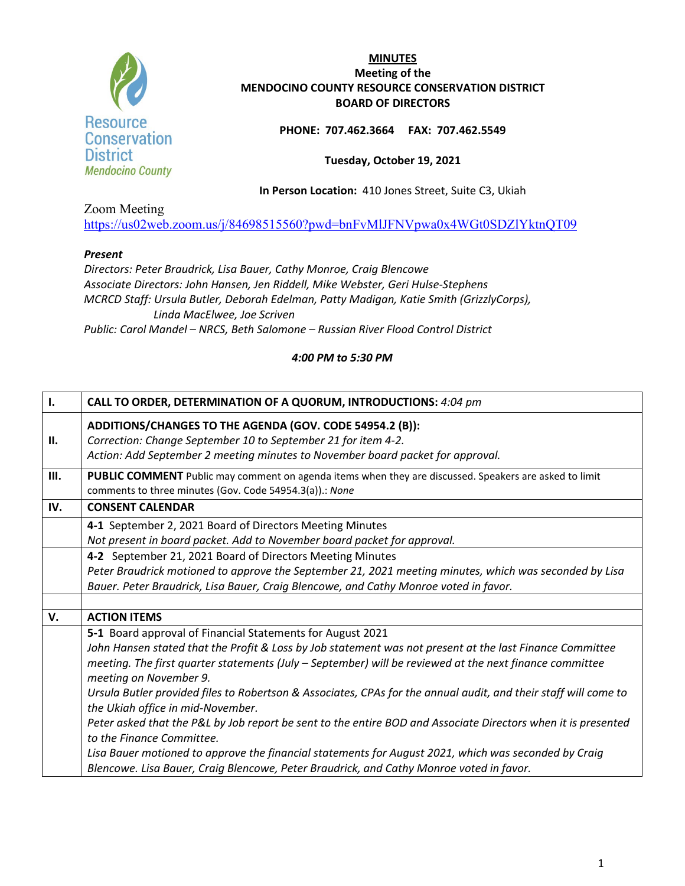

## **PHONE: 707.462.3664 FAX: 707.462.5549**

## **Tuesday, October 19, 2021**

**In Person Location:** 410 Jones Street, Suite C3, Ukiah

Zoom Meeting

<https://us02web.zoom.us/j/84698515560?pwd=bnFvMlJFNVpwa0x4WGt0SDZlYktnQT09>

## *Present*

*Directors: Peter Braudrick, Lisa Bauer, Cathy Monroe, Craig Blencowe Associate Directors: John Hansen, Jen Riddell, Mike Webster, Geri Hulse-Stephens MCRCD Staff: Ursula Butler, Deborah Edelman, Patty Madigan, Katie Smith (GrizzlyCorps), Linda MacElwee, Joe Scriven Public: Carol Mandel – NRCS, Beth Salomone – Russian River Flood Control District*

| Ι.   | CALL TO ORDER, DETERMINATION OF A QUORUM, INTRODUCTIONS: 4:04 pm                                                                                                                                            |
|------|-------------------------------------------------------------------------------------------------------------------------------------------------------------------------------------------------------------|
| II.  | ADDITIONS/CHANGES TO THE AGENDA (GOV. CODE 54954.2 (B)):<br>Correction: Change September 10 to September 21 for item 4-2.<br>Action: Add September 2 meeting minutes to November board packet for approval. |
| III. | PUBLIC COMMENT Public may comment on agenda items when they are discussed. Speakers are asked to limit<br>comments to three minutes (Gov. Code 54954.3(a)).: None                                           |
| IV.  | <b>CONSENT CALENDAR</b>                                                                                                                                                                                     |
|      | 4-1 September 2, 2021 Board of Directors Meeting Minutes                                                                                                                                                    |
|      | Not present in board packet. Add to November board packet for approval.                                                                                                                                     |
|      | 4-2 September 21, 2021 Board of Directors Meeting Minutes                                                                                                                                                   |
|      | Peter Braudrick motioned to approve the September 21, 2021 meeting minutes, which was seconded by Lisa                                                                                                      |
|      | Bauer. Peter Braudrick, Lisa Bauer, Craig Blencowe, and Cathy Monroe voted in favor.                                                                                                                        |
|      |                                                                                                                                                                                                             |
| V.   | <b>ACTION ITEMS</b>                                                                                                                                                                                         |
|      | 5-1 Board approval of Financial Statements for August 2021                                                                                                                                                  |
|      | John Hansen stated that the Profit & Loss by Job statement was not present at the last Finance Committee                                                                                                    |
|      | meeting. The first quarter statements (July - September) will be reviewed at the next finance committee                                                                                                     |
|      | meeting on November 9.                                                                                                                                                                                      |
|      | Ursula Butler provided files to Robertson & Associates, CPAs for the annual audit, and their staff will come to                                                                                             |
|      | the Ukiah office in mid-November.                                                                                                                                                                           |
|      | Peter asked that the P&L by Job report be sent to the entire BOD and Associate Directors when it is presented<br>to the Finance Committee.                                                                  |
|      | Lisa Bauer motioned to approve the financial statements for August 2021, which was seconded by Craig                                                                                                        |
|      | Blencowe. Lisa Bauer, Craig Blencowe, Peter Braudrick, and Cathy Monroe voted in favor.                                                                                                                     |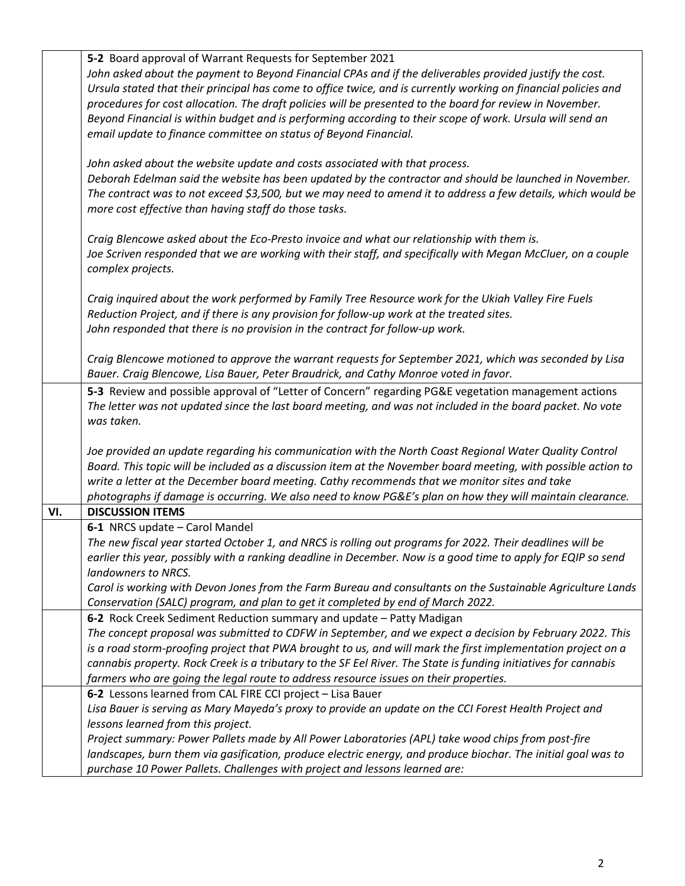|     | 5-2 Board approval of Warrant Requests for September 2021                                                                                                                                    |
|-----|----------------------------------------------------------------------------------------------------------------------------------------------------------------------------------------------|
|     | John asked about the payment to Beyond Financial CPAs and if the deliverables provided justify the cost.                                                                                     |
|     | Ursula stated that their principal has come to office twice, and is currently working on financial policies and                                                                              |
|     | procedures for cost allocation. The draft policies will be presented to the board for review in November.                                                                                    |
|     | Beyond Financial is within budget and is performing according to their scope of work. Ursula will send an                                                                                    |
|     | email update to finance committee on status of Beyond Financial.                                                                                                                             |
|     |                                                                                                                                                                                              |
|     | John asked about the website update and costs associated with that process.                                                                                                                  |
|     | Deborah Edelman said the website has been updated by the contractor and should be launched in November.                                                                                      |
|     | The contract was to not exceed \$3,500, but we may need to amend it to address a few details, which would be                                                                                 |
|     | more cost effective than having staff do those tasks.                                                                                                                                        |
|     |                                                                                                                                                                                              |
|     | Craig Blencowe asked about the Eco-Presto invoice and what our relationship with them is.                                                                                                    |
|     | Joe Scriven responded that we are working with their staff, and specifically with Megan McCluer, on a couple                                                                                 |
|     |                                                                                                                                                                                              |
|     | complex projects.                                                                                                                                                                            |
|     | Craig inquired about the work performed by Family Tree Resource work for the Ukiah Valley Fire Fuels                                                                                         |
|     |                                                                                                                                                                                              |
|     | Reduction Project, and if there is any provision for follow-up work at the treated sites.                                                                                                    |
|     | John responded that there is no provision in the contract for follow-up work.                                                                                                                |
|     |                                                                                                                                                                                              |
|     | Craig Blencowe motioned to approve the warrant requests for September 2021, which was seconded by Lisa                                                                                       |
|     | Bauer. Craig Blencowe, Lisa Bauer, Peter Braudrick, and Cathy Monroe voted in favor.                                                                                                         |
|     | 5-3 Review and possible approval of "Letter of Concern" regarding PG&E vegetation management actions                                                                                         |
|     | The letter was not updated since the last board meeting, and was not included in the board packet. No vote                                                                                   |
|     | was taken.                                                                                                                                                                                   |
|     |                                                                                                                                                                                              |
|     | Joe provided an update regarding his communication with the North Coast Regional Water Quality Control                                                                                       |
|     | Board. This topic will be included as a discussion item at the November board meeting, with possible action to                                                                               |
|     | write a letter at the December board meeting. Cathy recommends that we monitor sites and take                                                                                                |
|     | photographs if damage is occurring. We also need to know PG&E's plan on how they will maintain clearance.                                                                                    |
| VI. | <b>DISCUSSION ITEMS</b>                                                                                                                                                                      |
|     | 6-1 NRCS update - Carol Mandel                                                                                                                                                               |
|     | The new fiscal year started October 1, and NRCS is rolling out programs for 2022. Their deadlines will be                                                                                    |
|     | earlier this year, possibly with a ranking deadline in December. Now is a good time to apply for EQIP so send                                                                                |
|     | landowners to NRCS.                                                                                                                                                                          |
|     | Carol is working with Devon Jones from the Farm Bureau and consultants on the Sustainable Agriculture Lands                                                                                  |
|     | Conservation (SALC) program, and plan to get it completed by end of March 2022.                                                                                                              |
|     | 6-2 Rock Creek Sediment Reduction summary and update - Patty Madigan                                                                                                                         |
|     | The concept proposal was submitted to CDFW in September, and we expect a decision by February 2022. This                                                                                     |
|     | is a road storm-proofing project that PWA brought to us, and will mark the first implementation project on a                                                                                 |
|     | cannabis property. Rock Creek is a tributary to the SF Eel River. The State is funding initiatives for cannabis                                                                              |
|     | farmers who are going the legal route to address resource issues on their properties.                                                                                                        |
|     |                                                                                                                                                                                              |
|     | 6-2 Lessons learned from CAL FIRE CCI project - Lisa Bauer                                                                                                                                   |
|     | Lisa Bauer is serving as Mary Mayeda's proxy to provide an update on the CCI Forest Health Project and                                                                                       |
|     |                                                                                                                                                                                              |
|     | lessons learned from this project.                                                                                                                                                           |
|     | Project summary: Power Pallets made by All Power Laboratories (APL) take wood chips from post-fire                                                                                           |
|     | landscapes, burn them via gasification, produce electric energy, and produce biochar. The initial goal was to<br>purchase 10 Power Pallets. Challenges with project and lessons learned are: |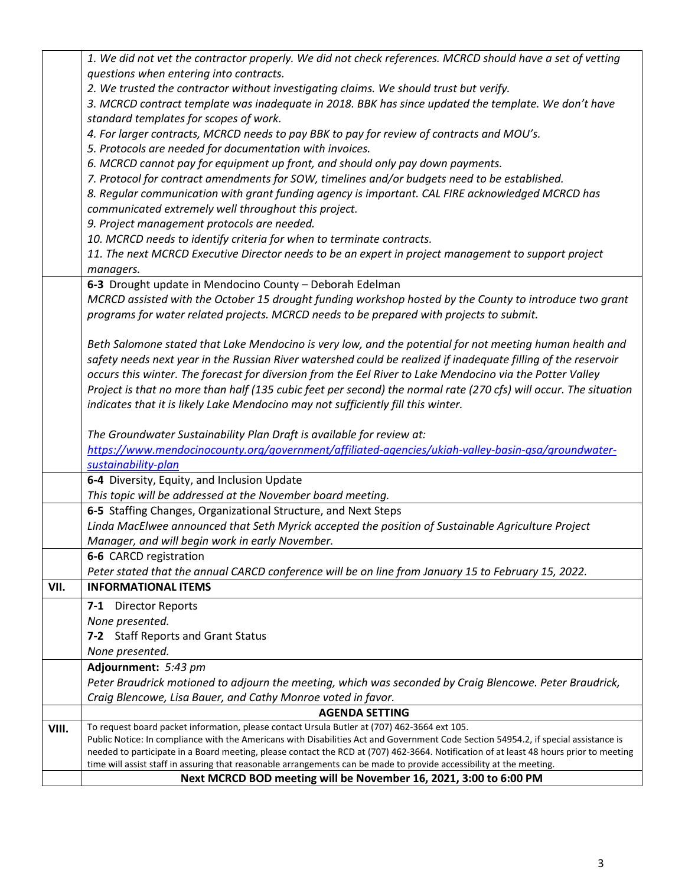|       | 1. We did not vet the contractor properly. We did not check references. MCRCD should have a set of vetting                             |
|-------|----------------------------------------------------------------------------------------------------------------------------------------|
|       | questions when entering into contracts.                                                                                                |
|       | 2. We trusted the contractor without investigating claims. We should trust but verify.                                                 |
|       | 3. MCRCD contract template was inadequate in 2018. BBK has since updated the template. We don't have                                   |
|       | standard templates for scopes of work.                                                                                                 |
|       | 4. For larger contracts, MCRCD needs to pay BBK to pay for review of contracts and MOU's.                                              |
|       | 5. Protocols are needed for documentation with invoices.                                                                               |
|       | 6. MCRCD cannot pay for equipment up front, and should only pay down payments.                                                         |
|       | 7. Protocol for contract amendments for SOW, timelines and/or budgets need to be established.                                          |
|       | 8. Regular communication with grant funding agency is important. CAL FIRE acknowledged MCRCD has                                       |
|       | communicated extremely well throughout this project.                                                                                   |
|       | 9. Project management protocols are needed.                                                                                            |
|       | 10. MCRCD needs to identify criteria for when to terminate contracts.                                                                  |
|       | 11. The next MCRCD Executive Director needs to be an expert in project management to support project                                   |
|       | managers.                                                                                                                              |
|       | 6-3 Drought update in Mendocino County - Deborah Edelman                                                                               |
|       | MCRCD assisted with the October 15 drought funding workshop hosted by the County to introduce two grant                                |
|       | programs for water related projects. MCRCD needs to be prepared with projects to submit.                                               |
|       |                                                                                                                                        |
|       | Beth Salomone stated that Lake Mendocino is very low, and the potential for not meeting human health and                               |
|       | safety needs next year in the Russian River watershed could be realized if inadequate filling of the reservoir                         |
|       | occurs this winter. The forecast for diversion from the Eel River to Lake Mendocino via the Potter Valley                              |
|       | Project is that no more than half (135 cubic feet per second) the normal rate (270 cfs) will occur. The situation                      |
|       | indicates that it is likely Lake Mendocino may not sufficiently fill this winter.                                                      |
|       |                                                                                                                                        |
|       | The Groundwater Sustainability Plan Draft is available for review at:                                                                  |
|       | https://www.mendocinocounty.org/government/affiliated-agencies/ukiah-valley-basin-gsa/groundwater-                                     |
|       | sustainability-plan                                                                                                                    |
|       | 6-4 Diversity, Equity, and Inclusion Update                                                                                            |
|       | This topic will be addressed at the November board meeting.                                                                            |
|       | 6-5 Staffing Changes, Organizational Structure, and Next Steps                                                                         |
|       | Linda MacElwee announced that Seth Myrick accepted the position of Sustainable Agriculture Project                                     |
|       | Manager, and will begin work in early November.                                                                                        |
|       | 6-6 CARCD registration                                                                                                                 |
|       | Peter stated that the annual CARCD conference will be on line from January 15 to February 15, 2022.                                    |
| VII.  | <b>INFORMATIONAL ITEMS</b>                                                                                                             |
|       | 7-1 Director Reports                                                                                                                   |
|       | None presented.                                                                                                                        |
|       | 7-2 Staff Reports and Grant Status                                                                                                     |
|       | None presented.                                                                                                                        |
|       | Adjournment: 5:43 pm                                                                                                                   |
|       | Peter Braudrick motioned to adjourn the meeting, which was seconded by Craig Blencowe. Peter Braudrick,                                |
|       | Craig Blencowe, Lisa Bauer, and Cathy Monroe voted in favor.                                                                           |
|       | <b>AGENDA SETTING</b>                                                                                                                  |
| VIII. | To request board packet information, please contact Ursula Butler at (707) 462-3664 ext 105.                                           |
|       | Public Notice: In compliance with the Americans with Disabilities Act and Government Code Section 54954.2, if special assistance is    |
|       | needed to participate in a Board meeting, please contact the RCD at (707) 462-3664. Notification of at least 48 hours prior to meeting |
|       | time will assist staff in assuring that reasonable arrangements can be made to provide accessibility at the meeting.                   |
|       | Next MCRCD BOD meeting will be November 16, 2021, 3:00 to 6:00 PM                                                                      |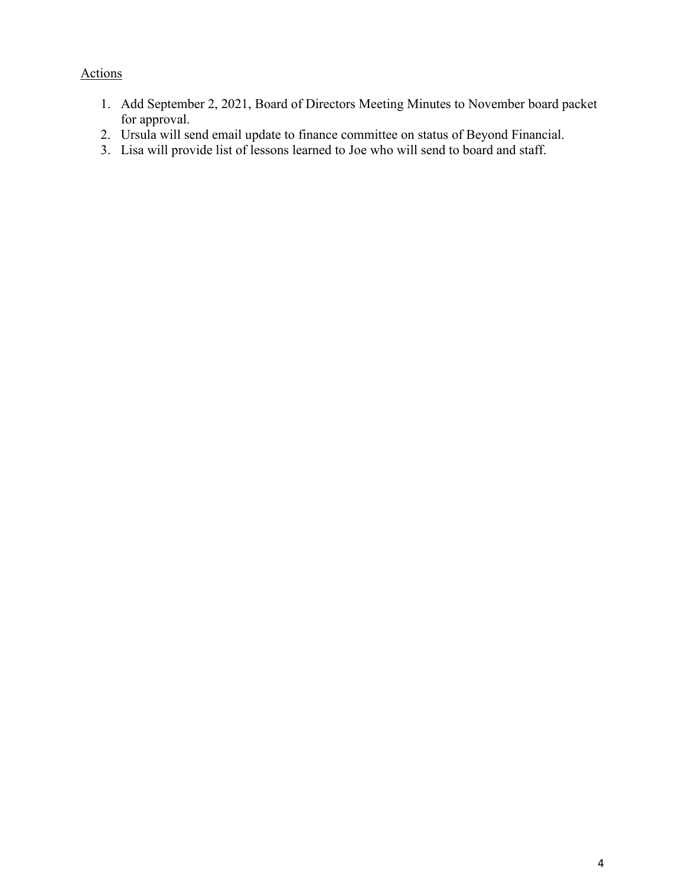# Actions

- 1. Add September 2, 2021, Board of Directors Meeting Minutes to November board packet for approval.
- 2. Ursula will send email update to finance committee on status of Beyond Financial.
- 3. Lisa will provide list of lessons learned to Joe who will send to board and staff.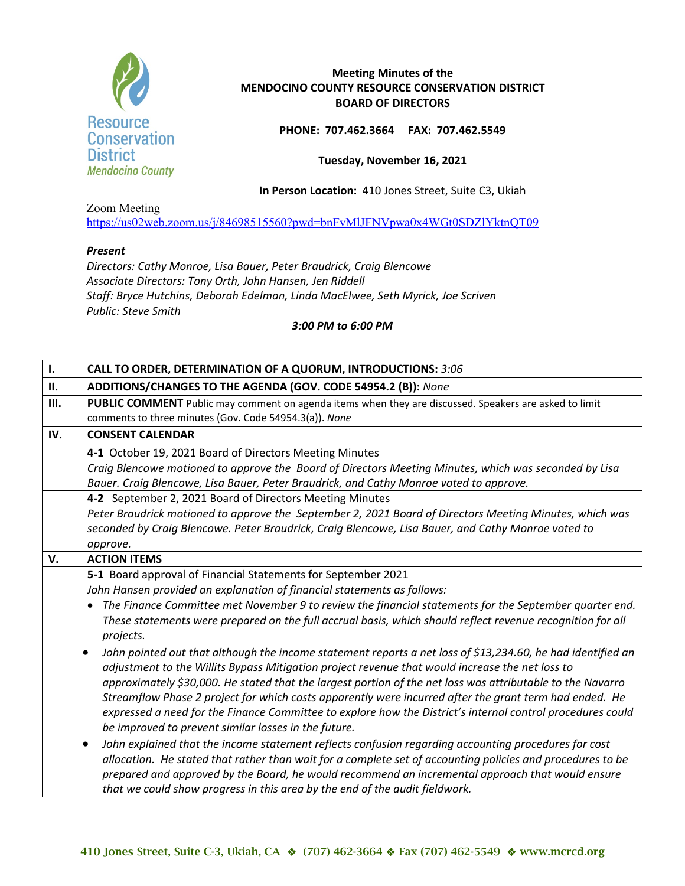

**PHONE: 707.462.3664 FAX: 707.462.5549**

**Tuesday, November 16, 2021** 

**In Person Location:** 410 Jones Street, Suite C3, Ukiah

Zoom Meeting <https://us02web.zoom.us/j/84698515560?pwd=bnFvMlJFNVpwa0x4WGt0SDZlYktnQT09>

#### *Present*

*Directors: Cathy Monroe, Lisa Bauer, Peter Braudrick, Craig Blencowe Associate Directors: Tony Orth, John Hansen, Jen Riddell Staff: Bryce Hutchins, Deborah Edelman, Linda MacElwee, Seth Myrick, Joe Scriven Public: Steve Smith*

*3:00 PM to 6:00 PM*

| $\mathbf{I}$ . | CALL TO ORDER, DETERMINATION OF A QUORUM, INTRODUCTIONS: 3:06                                                                                                                                                                                                                                                                                                                                                                                                                                                                                                                                                                                                                                                                                                                                                                                                                                                                                                                                                                                                                                                                                                                                                                                                                                                                                                                                                         |
|----------------|-----------------------------------------------------------------------------------------------------------------------------------------------------------------------------------------------------------------------------------------------------------------------------------------------------------------------------------------------------------------------------------------------------------------------------------------------------------------------------------------------------------------------------------------------------------------------------------------------------------------------------------------------------------------------------------------------------------------------------------------------------------------------------------------------------------------------------------------------------------------------------------------------------------------------------------------------------------------------------------------------------------------------------------------------------------------------------------------------------------------------------------------------------------------------------------------------------------------------------------------------------------------------------------------------------------------------------------------------------------------------------------------------------------------------|
| П.             | ADDITIONS/CHANGES TO THE AGENDA (GOV. CODE 54954.2 (B)): None                                                                                                                                                                                                                                                                                                                                                                                                                                                                                                                                                                                                                                                                                                                                                                                                                                                                                                                                                                                                                                                                                                                                                                                                                                                                                                                                                         |
| III.           | PUBLIC COMMENT Public may comment on agenda items when they are discussed. Speakers are asked to limit<br>comments to three minutes (Gov. Code 54954.3(a)). None                                                                                                                                                                                                                                                                                                                                                                                                                                                                                                                                                                                                                                                                                                                                                                                                                                                                                                                                                                                                                                                                                                                                                                                                                                                      |
| IV.            | <b>CONSENT CALENDAR</b>                                                                                                                                                                                                                                                                                                                                                                                                                                                                                                                                                                                                                                                                                                                                                                                                                                                                                                                                                                                                                                                                                                                                                                                                                                                                                                                                                                                               |
|                | 4-1 October 19, 2021 Board of Directors Meeting Minutes<br>Craig Blencowe motioned to approve the Board of Directors Meeting Minutes, which was seconded by Lisa<br>Bauer. Craig Blencowe, Lisa Bauer, Peter Braudrick, and Cathy Monroe voted to approve.                                                                                                                                                                                                                                                                                                                                                                                                                                                                                                                                                                                                                                                                                                                                                                                                                                                                                                                                                                                                                                                                                                                                                            |
|                | 4-2 September 2, 2021 Board of Directors Meeting Minutes<br>Peter Braudrick motioned to approve the September 2, 2021 Board of Directors Meeting Minutes, which was<br>seconded by Craig Blencowe. Peter Braudrick, Craig Blencowe, Lisa Bauer, and Cathy Monroe voted to<br>approve.                                                                                                                                                                                                                                                                                                                                                                                                                                                                                                                                                                                                                                                                                                                                                                                                                                                                                                                                                                                                                                                                                                                                 |
| V.             | <b>ACTION ITEMS</b>                                                                                                                                                                                                                                                                                                                                                                                                                                                                                                                                                                                                                                                                                                                                                                                                                                                                                                                                                                                                                                                                                                                                                                                                                                                                                                                                                                                                   |
|                | 5-1 Board approval of Financial Statements for September 2021<br>John Hansen provided an explanation of financial statements as follows:<br>• The Finance Committee met November 9 to review the financial statements for the September quarter end.<br>These statements were prepared on the full accrual basis, which should reflect revenue recognition for all<br>projects.<br>John pointed out that although the income statement reports a net loss of \$13,234.60, he had identified an<br>$\bullet$<br>adjustment to the Willits Bypass Mitigation project revenue that would increase the net loss to<br>approximately \$30,000. He stated that the largest portion of the net loss was attributable to the Navarro<br>Streamflow Phase 2 project for which costs apparently were incurred after the grant term had ended. He<br>expressed a need for the Finance Committee to explore how the District's internal control procedures could<br>be improved to prevent similar losses in the future.<br>John explained that the income statement reflects confusion regarding accounting procedures for cost<br>allocation. He stated that rather than wait for a complete set of accounting policies and procedures to be<br>prepared and approved by the Board, he would recommend an incremental approach that would ensure<br>that we could show progress in this area by the end of the audit fieldwork. |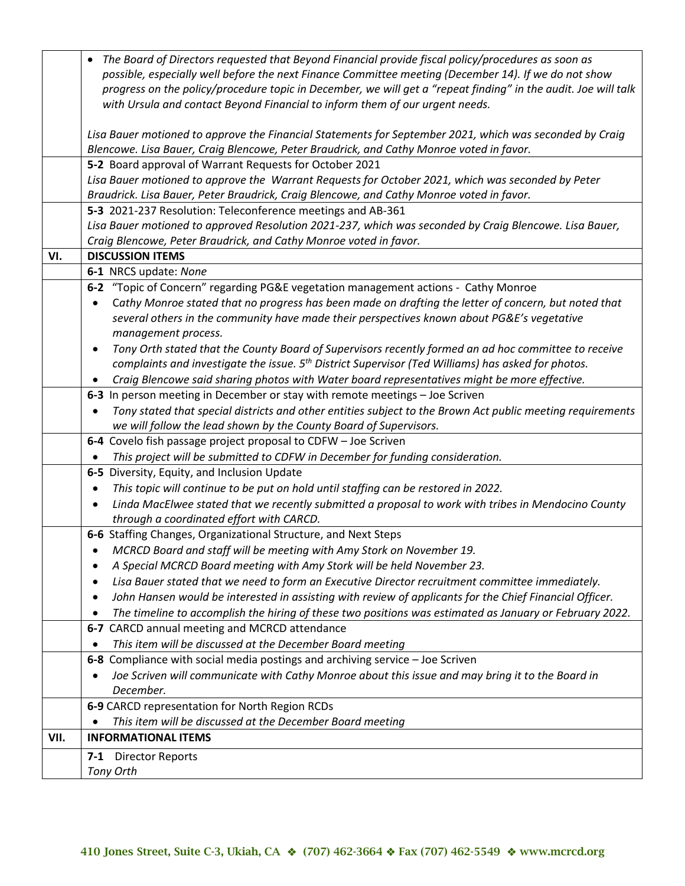|      | The Board of Directors requested that Beyond Financial provide fiscal policy/procedures as soon as<br>$\bullet$   |
|------|-------------------------------------------------------------------------------------------------------------------|
|      | possible, especially well before the next Finance Committee meeting (December 14). If we do not show              |
|      | progress on the policy/procedure topic in December, we will get a "repeat finding" in the audit. Joe will talk    |
|      | with Ursula and contact Beyond Financial to inform them of our urgent needs.                                      |
|      |                                                                                                                   |
|      | Lisa Bauer motioned to approve the Financial Statements for September 2021, which was seconded by Craig           |
|      | Blencowe. Lisa Bauer, Craig Blencowe, Peter Braudrick, and Cathy Monroe voted in favor.                           |
|      | 5-2 Board approval of Warrant Requests for October 2021                                                           |
|      | Lisa Bauer motioned to approve the Warrant Requests for October 2021, which was seconded by Peter                 |
|      | Braudrick. Lisa Bauer, Peter Braudrick, Craig Blencowe, and Cathy Monroe voted in favor.                          |
|      | 5-3 2021-237 Resolution: Teleconference meetings and AB-361                                                       |
|      | Lisa Bauer motioned to approved Resolution 2021-237, which was seconded by Craig Blencowe. Lisa Bauer,            |
|      | Craig Blencowe, Peter Braudrick, and Cathy Monroe voted in favor.                                                 |
| VI.  | <b>DISCUSSION ITEMS</b>                                                                                           |
|      | 6-1 NRCS update: None                                                                                             |
|      | 6-2 "Topic of Concern" regarding PG&E vegetation management actions - Cathy Monroe                                |
|      | Cathy Monroe stated that no progress has been made on drafting the letter of concern, but noted that              |
|      | several others in the community have made their perspectives known about PG&E's vegetative                        |
|      | management process.                                                                                               |
|      | Tony Orth stated that the County Board of Supervisors recently formed an ad hoc committee to receive<br>$\bullet$ |
|      | complaints and investigate the issue. 5 <sup>th</sup> District Supervisor (Ted Williams) has asked for photos.    |
|      | Craig Blencowe said sharing photos with Water board representatives might be more effective.                      |
|      | 6-3 In person meeting in December or stay with remote meetings - Joe Scriven                                      |
|      | Tony stated that special districts and other entities subject to the Brown Act public meeting requirements        |
|      | we will follow the lead shown by the County Board of Supervisors.                                                 |
|      | 6-4 Covelo fish passage project proposal to CDFW - Joe Scriven                                                    |
|      | This project will be submitted to CDFW in December for funding consideration.                                     |
|      | 6-5 Diversity, Equity, and Inclusion Update                                                                       |
|      | This topic will continue to be put on hold until staffing can be restored in 2022.                                |
|      | Linda MacElwee stated that we recently submitted a proposal to work with tribes in Mendocino County               |
|      | through a coordinated effort with CARCD.                                                                          |
|      | 6-6 Staffing Changes, Organizational Structure, and Next Steps                                                    |
|      | MCRCD Board and staff will be meeting with Amy Stork on November 19.                                              |
|      | A Special MCRCD Board meeting with Amy Stork will be held November 23.                                            |
|      | Lisa Bauer stated that we need to form an Executive Director recruitment committee immediately.                   |
|      | John Hansen would be interested in assisting with review of applicants for the Chief Financial Officer.           |
|      | The timeline to accomplish the hiring of these two positions was estimated as January or February 2022.           |
|      | 6-7 CARCD annual meeting and MCRCD attendance                                                                     |
|      | This item will be discussed at the December Board meeting                                                         |
|      | 6-8 Compliance with social media postings and archiving service - Joe Scriven                                     |
|      | Joe Scriven will communicate with Cathy Monroe about this issue and may bring it to the Board in                  |
|      | December.                                                                                                         |
|      | 6-9 CARCD representation for North Region RCDs                                                                    |
|      | This item will be discussed at the December Board meeting                                                         |
| VII. | <b>INFORMATIONAL ITEMS</b>                                                                                        |
|      | $7-1$<br><b>Director Reports</b>                                                                                  |
|      | Tony Orth                                                                                                         |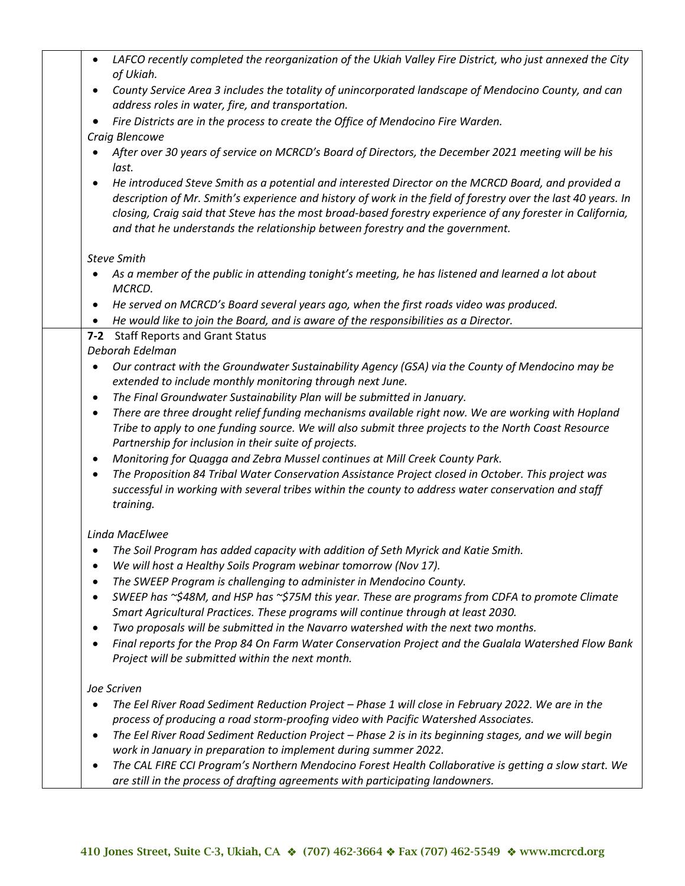| $\bullet$ | LAFCO recently completed the reorganization of the Ukiah Valley Fire District, who just annexed the City                                                                                                                                                                                                                                                                                                            |
|-----------|---------------------------------------------------------------------------------------------------------------------------------------------------------------------------------------------------------------------------------------------------------------------------------------------------------------------------------------------------------------------------------------------------------------------|
|           | of Ukiah.                                                                                                                                                                                                                                                                                                                                                                                                           |
| $\bullet$ | County Service Area 3 includes the totality of unincorporated landscape of Mendocino County, and can<br>address roles in water, fire, and transportation.                                                                                                                                                                                                                                                           |
|           | Fire Districts are in the process to create the Office of Mendocino Fire Warden.                                                                                                                                                                                                                                                                                                                                    |
|           | Craig Blencowe                                                                                                                                                                                                                                                                                                                                                                                                      |
|           | After over 30 years of service on MCRCD's Board of Directors, the December 2021 meeting will be his<br>last.                                                                                                                                                                                                                                                                                                        |
| $\bullet$ | He introduced Steve Smith as a potential and interested Director on the MCRCD Board, and provided a<br>description of Mr. Smith's experience and history of work in the field of forestry over the last 40 years. In<br>closing, Craig said that Steve has the most broad-based forestry experience of any forester in California,<br>and that he understands the relationship between forestry and the government. |
|           | <b>Steve Smith</b>                                                                                                                                                                                                                                                                                                                                                                                                  |
|           | As a member of the public in attending tonight's meeting, he has listened and learned a lot about<br>MCRCD.                                                                                                                                                                                                                                                                                                         |
| $\bullet$ | He served on MCRCD's Board several years ago, when the first roads video was produced.                                                                                                                                                                                                                                                                                                                              |
| ٠         | He would like to join the Board, and is aware of the responsibilities as a Director.                                                                                                                                                                                                                                                                                                                                |
| $7-2$     | <b>Staff Reports and Grant Status</b>                                                                                                                                                                                                                                                                                                                                                                               |
|           | Deborah Edelman                                                                                                                                                                                                                                                                                                                                                                                                     |
| $\bullet$ | Our contract with the Groundwater Sustainability Agency (GSA) via the County of Mendocino may be                                                                                                                                                                                                                                                                                                                    |
|           | extended to include monthly monitoring through next June.                                                                                                                                                                                                                                                                                                                                                           |
| $\bullet$ | The Final Groundwater Sustainability Plan will be submitted in January.                                                                                                                                                                                                                                                                                                                                             |
| $\bullet$ | There are three drought relief funding mechanisms available right now. We are working with Hopland                                                                                                                                                                                                                                                                                                                  |
|           | Tribe to apply to one funding source. We will also submit three projects to the North Coast Resource<br>Partnership for inclusion in their suite of projects.                                                                                                                                                                                                                                                       |
| $\bullet$ | Monitoring for Quagga and Zebra Mussel continues at Mill Creek County Park.                                                                                                                                                                                                                                                                                                                                         |
| $\bullet$ | The Proposition 84 Tribal Water Conservation Assistance Project closed in October. This project was                                                                                                                                                                                                                                                                                                                 |
|           | successful in working with several tribes within the county to address water conservation and staff<br>training.                                                                                                                                                                                                                                                                                                    |
|           | Linda MacElwee                                                                                                                                                                                                                                                                                                                                                                                                      |
|           | The Soil Program has added capacity with addition of Seth Myrick and Katie Smith.                                                                                                                                                                                                                                                                                                                                   |
| ٠         | We will host a Healthy Soils Program webinar tomorrow (Nov 17).                                                                                                                                                                                                                                                                                                                                                     |
| ٠         | The SWEEP Program is challenging to administer in Mendocino County.                                                                                                                                                                                                                                                                                                                                                 |
|           | SWEEP has ~\$48M, and HSP has ~\$75M this year. These are programs from CDFA to promote Climate                                                                                                                                                                                                                                                                                                                     |
|           | Smart Agricultural Practices. These programs will continue through at least 2030.                                                                                                                                                                                                                                                                                                                                   |
|           | Two proposals will be submitted in the Navarro watershed with the next two months.                                                                                                                                                                                                                                                                                                                                  |
| ٠         | Final reports for the Prop 84 On Farm Water Conservation Project and the Gualala Watershed Flow Bank<br>Project will be submitted within the next month.                                                                                                                                                                                                                                                            |
|           | Joe Scriven                                                                                                                                                                                                                                                                                                                                                                                                         |
|           | The Eel River Road Sediment Reduction Project - Phase 1 will close in February 2022. We are in the                                                                                                                                                                                                                                                                                                                  |
|           | process of producing a road storm-proofing video with Pacific Watershed Associates.                                                                                                                                                                                                                                                                                                                                 |
|           | The Eel River Road Sediment Reduction Project - Phase 2 is in its beginning stages, and we will begin<br>work in January in preparation to implement during summer 2022.                                                                                                                                                                                                                                            |
| ٠         | The CAL FIRE CCI Program's Northern Mendocino Forest Health Collaborative is getting a slow start. We                                                                                                                                                                                                                                                                                                               |
|           | are still in the process of drafting agreements with participating landowners.                                                                                                                                                                                                                                                                                                                                      |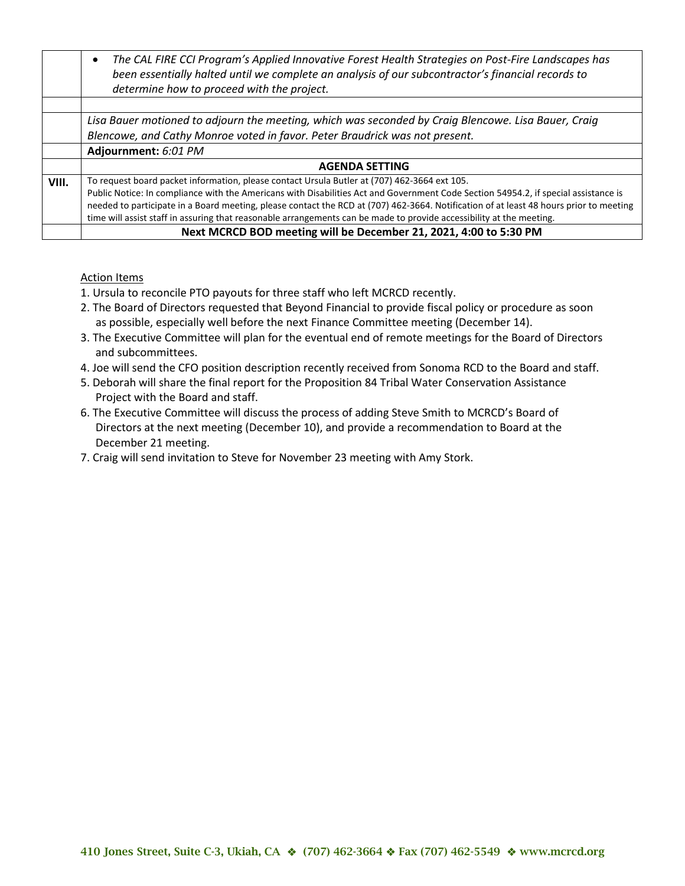|       | The CAL FIRE CCI Program's Applied Innovative Forest Health Strategies on Post-Fire Landscapes has<br>$\bullet$<br>been essentially halted until we complete an analysis of our subcontractor's financial records to<br>determine how to proceed with the project. |
|-------|--------------------------------------------------------------------------------------------------------------------------------------------------------------------------------------------------------------------------------------------------------------------|
|       |                                                                                                                                                                                                                                                                    |
|       | Lisa Bauer motioned to adjourn the meeting, which was seconded by Craig Blencowe. Lisa Bauer, Craig                                                                                                                                                                |
|       | Blencowe, and Cathy Monroe voted in favor. Peter Braudrick was not present.                                                                                                                                                                                        |
|       | Adjournment: 6:01 PM                                                                                                                                                                                                                                               |
|       | <b>AGENDA SETTING</b>                                                                                                                                                                                                                                              |
| VIII. | To request board packet information, please contact Ursula Butler at (707) 462-3664 ext 105.                                                                                                                                                                       |
|       | Public Notice: In compliance with the Americans with Disabilities Act and Government Code Section 54954.2, if special assistance is                                                                                                                                |
|       | needed to participate in a Board meeting, please contact the RCD at (707) 462-3664. Notification of at least 48 hours prior to meeting                                                                                                                             |
|       | time will assist staff in assuring that reasonable arrangements can be made to provide accessibility at the meeting.                                                                                                                                               |
|       | Next MCRCD BOD meeting will be December 21, 2021, 4:00 to 5:30 PM                                                                                                                                                                                                  |

#### Action Items

- 1. Ursula to reconcile PTO payouts for three staff who left MCRCD recently.
- 2. The Board of Directors requested that Beyond Financial to provide fiscal policy or procedure as soon as possible, especially well before the next Finance Committee meeting (December 14).
- 3. The Executive Committee will plan for the eventual end of remote meetings for the Board of Directors and subcommittees.
- 4. Joe will send the CFO position description recently received from Sonoma RCD to the Board and staff.
- 5. Deborah will share the final report for the Proposition 84 Tribal Water Conservation Assistance Project with the Board and staff.
- 6. The Executive Committee will discuss the process of adding Steve Smith to MCRCD's Board of Directors at the next meeting (December 10), and provide a recommendation to Board at the December 21 meeting.
- 7. Craig will send invitation to Steve for November 23 meeting with Amy Stork.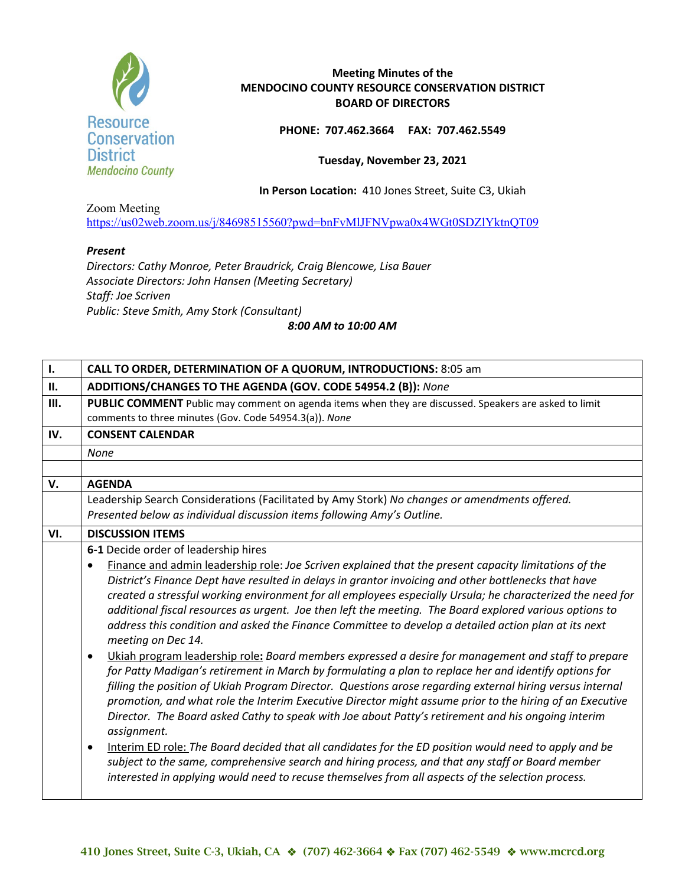

**PHONE: 707.462.3664 FAX: 707.462.5549**

**Tuesday, November 23, 2021** 

**In Person Location:** 410 Jones Street, Suite C3, Ukiah

Zoom Meeting <https://us02web.zoom.us/j/84698515560?pwd=bnFvMlJFNVpwa0x4WGt0SDZlYktnQT09>

## *Present*

*Directors: Cathy Monroe, Peter Braudrick, Craig Blencowe, Lisa Bauer Associate Directors: John Hansen (Meeting Secretary) Staff: Joe Scriven Public: Steve Smith, Amy Stork (Consultant)*

*8:00 AM to 10:00 AM*

| $\mathbf{I}$ . | <b>CALL TO ORDER, DETERMINATION OF A QUORUM, INTRODUCTIONS: 8:05 am</b>                                                                                                                                                                                                                                                                                                                                                                                                                                                                                                                                                                                                                                                                                                                                                                                                                                                                                                                                                                                                                                                                                                                                                                                                                                                                                                                                                                                                                                                |
|----------------|------------------------------------------------------------------------------------------------------------------------------------------------------------------------------------------------------------------------------------------------------------------------------------------------------------------------------------------------------------------------------------------------------------------------------------------------------------------------------------------------------------------------------------------------------------------------------------------------------------------------------------------------------------------------------------------------------------------------------------------------------------------------------------------------------------------------------------------------------------------------------------------------------------------------------------------------------------------------------------------------------------------------------------------------------------------------------------------------------------------------------------------------------------------------------------------------------------------------------------------------------------------------------------------------------------------------------------------------------------------------------------------------------------------------------------------------------------------------------------------------------------------------|
| II.            | ADDITIONS/CHANGES TO THE AGENDA (GOV. CODE 54954.2 (B)): None                                                                                                                                                                                                                                                                                                                                                                                                                                                                                                                                                                                                                                                                                                                                                                                                                                                                                                                                                                                                                                                                                                                                                                                                                                                                                                                                                                                                                                                          |
| III.           | PUBLIC COMMENT Public may comment on agenda items when they are discussed. Speakers are asked to limit<br>comments to three minutes (Gov. Code 54954.3(a)). None                                                                                                                                                                                                                                                                                                                                                                                                                                                                                                                                                                                                                                                                                                                                                                                                                                                                                                                                                                                                                                                                                                                                                                                                                                                                                                                                                       |
| IV.            | <b>CONSENT CALENDAR</b>                                                                                                                                                                                                                                                                                                                                                                                                                                                                                                                                                                                                                                                                                                                                                                                                                                                                                                                                                                                                                                                                                                                                                                                                                                                                                                                                                                                                                                                                                                |
|                | <b>None</b>                                                                                                                                                                                                                                                                                                                                                                                                                                                                                                                                                                                                                                                                                                                                                                                                                                                                                                                                                                                                                                                                                                                                                                                                                                                                                                                                                                                                                                                                                                            |
|                |                                                                                                                                                                                                                                                                                                                                                                                                                                                                                                                                                                                                                                                                                                                                                                                                                                                                                                                                                                                                                                                                                                                                                                                                                                                                                                                                                                                                                                                                                                                        |
| V.             | <b>AGENDA</b>                                                                                                                                                                                                                                                                                                                                                                                                                                                                                                                                                                                                                                                                                                                                                                                                                                                                                                                                                                                                                                                                                                                                                                                                                                                                                                                                                                                                                                                                                                          |
|                | Leadership Search Considerations (Facilitated by Amy Stork) No changes or amendments offered.                                                                                                                                                                                                                                                                                                                                                                                                                                                                                                                                                                                                                                                                                                                                                                                                                                                                                                                                                                                                                                                                                                                                                                                                                                                                                                                                                                                                                          |
|                | Presented below as individual discussion items following Amy's Outline.                                                                                                                                                                                                                                                                                                                                                                                                                                                                                                                                                                                                                                                                                                                                                                                                                                                                                                                                                                                                                                                                                                                                                                                                                                                                                                                                                                                                                                                |
| VI.            | <b>DISCUSSION ITEMS</b>                                                                                                                                                                                                                                                                                                                                                                                                                                                                                                                                                                                                                                                                                                                                                                                                                                                                                                                                                                                                                                                                                                                                                                                                                                                                                                                                                                                                                                                                                                |
|                | 6-1 Decide order of leadership hires<br>Finance and admin leadership role: Joe Scriven explained that the present capacity limitations of the<br>District's Finance Dept have resulted in delays in grantor invoicing and other bottlenecks that have<br>created a stressful working environment for all employees especially Ursula; he characterized the need for<br>additional fiscal resources as urgent. Joe then left the meeting. The Board explored various options to<br>address this condition and asked the Finance Committee to develop a detailed action plan at its next<br>meeting on Dec 14.<br>Ukiah program leadership role: Board members expressed a desire for management and staff to prepare<br>$\bullet$<br>for Patty Madigan's retirement in March by formulating a plan to replace her and identify options for<br>filling the position of Ukiah Program Director. Questions arose regarding external hiring versus internal<br>promotion, and what role the Interim Executive Director might assume prior to the hiring of an Executive<br>Director. The Board asked Cathy to speak with Joe about Patty's retirement and his ongoing interim<br>assignment.<br>Interim ED role: The Board decided that all candidates for the ED position would need to apply and be<br>$\bullet$<br>subject to the same, comprehensive search and hiring process, and that any staff or Board member<br>interested in applying would need to recuse themselves from all aspects of the selection process. |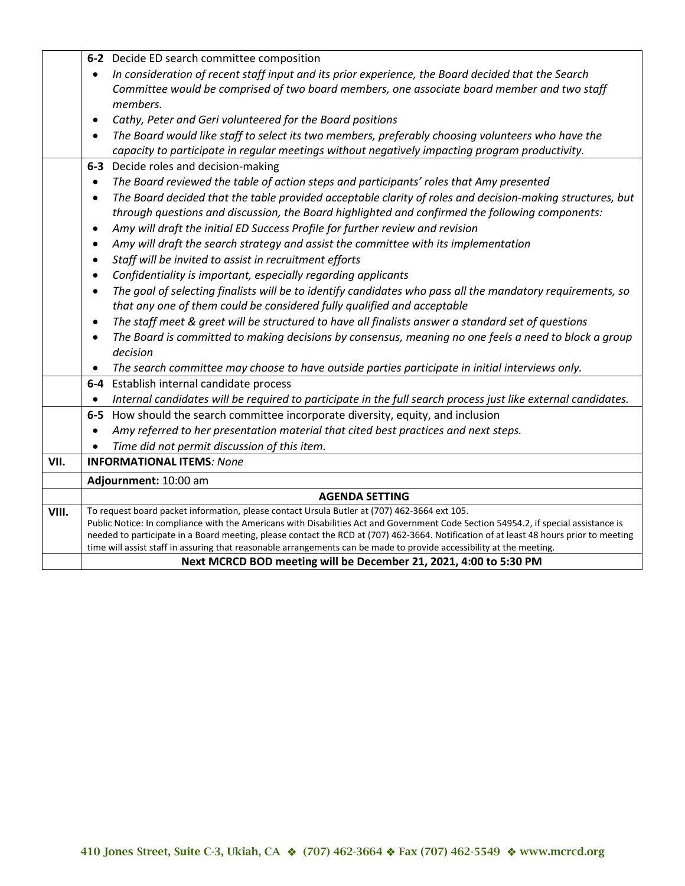|       | 6-2 Decide ED search committee composition                                                                                                                                                                                                                     |
|-------|----------------------------------------------------------------------------------------------------------------------------------------------------------------------------------------------------------------------------------------------------------------|
|       | In consideration of recent staff input and its prior experience, the Board decided that the Search                                                                                                                                                             |
|       | Committee would be comprised of two board members, one associate board member and two staff                                                                                                                                                                    |
|       | members.                                                                                                                                                                                                                                                       |
|       | Cathy, Peter and Geri volunteered for the Board positions<br>$\bullet$                                                                                                                                                                                         |
|       | The Board would like staff to select its two members, preferably choosing volunteers who have the                                                                                                                                                              |
|       | capacity to participate in regular meetings without negatively impacting program productivity.                                                                                                                                                                 |
|       | 6-3 Decide roles and decision-making                                                                                                                                                                                                                           |
|       | The Board reviewed the table of action steps and participants' roles that Amy presented                                                                                                                                                                        |
|       | The Board decided that the table provided acceptable clarity of roles and decision-making structures, but<br>$\bullet$                                                                                                                                         |
|       | through questions and discussion, the Board highlighted and confirmed the following components:                                                                                                                                                                |
|       | Amy will draft the initial ED Success Profile for further review and revision<br>$\bullet$                                                                                                                                                                     |
|       | Amy will draft the search strategy and assist the committee with its implementation                                                                                                                                                                            |
|       | Staff will be invited to assist in recruitment efforts<br>$\bullet$                                                                                                                                                                                            |
|       | Confidentiality is important, especially regarding applicants                                                                                                                                                                                                  |
|       | The goal of selecting finalists will be to identify candidates who pass all the mandatory requirements, so                                                                                                                                                     |
|       | that any one of them could be considered fully qualified and acceptable                                                                                                                                                                                        |
|       | The staff meet & greet will be structured to have all finalists answer a standard set of questions                                                                                                                                                             |
|       | The Board is committed to making decisions by consensus, meaning no one feels a need to block a group                                                                                                                                                          |
|       | decision                                                                                                                                                                                                                                                       |
|       | The search committee may choose to have outside parties participate in initial interviews only.                                                                                                                                                                |
|       | 6-4 Establish internal candidate process                                                                                                                                                                                                                       |
|       | Internal candidates will be required to participate in the full search process just like external candidates.                                                                                                                                                  |
|       | 6-5 How should the search committee incorporate diversity, equity, and inclusion                                                                                                                                                                               |
|       | Amy referred to her presentation material that cited best practices and next steps.<br>$\bullet$                                                                                                                                                               |
|       | Time did not permit discussion of this item.                                                                                                                                                                                                                   |
| VII.  | <b>INFORMATIONAL ITEMS: None</b>                                                                                                                                                                                                                               |
|       | Adjournment: 10:00 am                                                                                                                                                                                                                                          |
|       | <b>AGENDA SETTING</b>                                                                                                                                                                                                                                          |
| VIII. | To request board packet information, please contact Ursula Butler at (707) 462-3664 ext 105.                                                                                                                                                                   |
|       | Public Notice: In compliance with the Americans with Disabilities Act and Government Code Section 54954.2, if special assistance is                                                                                                                            |
|       | needed to participate in a Board meeting, please contact the RCD at (707) 462-3664. Notification of at least 48 hours prior to meeting<br>time will assist staff in assuring that reasonable arrangements can be made to provide accessibility at the meeting. |
|       | Next MCRCD BOD meeting will be December 21, 2021, 4:00 to 5:30 PM                                                                                                                                                                                              |
|       |                                                                                                                                                                                                                                                                |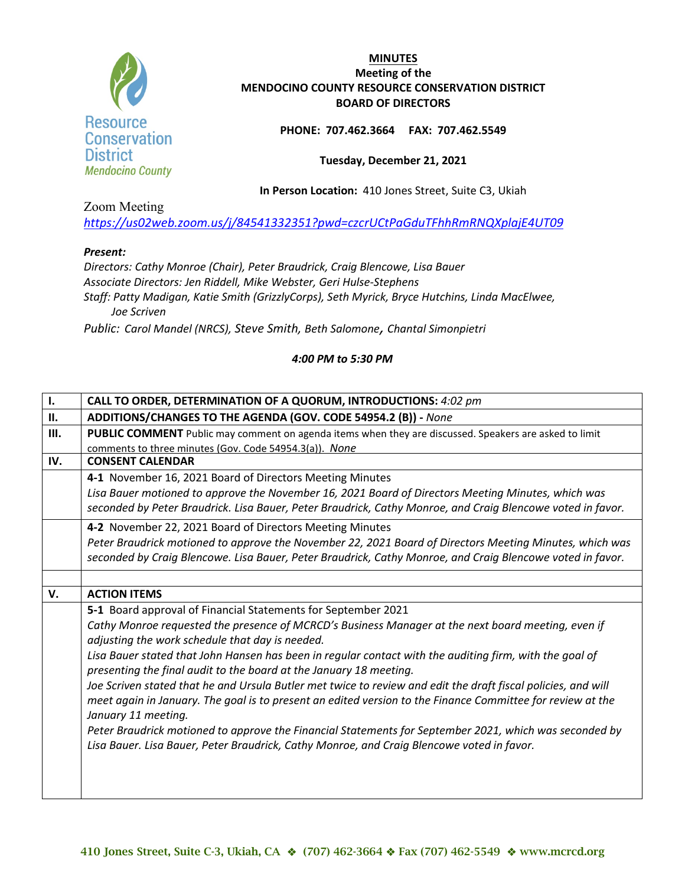

## **PHONE: 707.462.3664 FAX: 707.462.5549**

#### **Tuesday, December 21, 2021**

**In Person Location:** 410 Jones Street, Suite C3, Ukiah

Zoom Meeting

*<https://us02web.zoom.us/j/84541332351?pwd=czcrUCtPaGduTFhhRmRNQXplajE4UT09>*

## *Present:*

*Directors: Cathy Monroe (Chair), Peter Braudrick, Craig Blencowe, Lisa Bauer Associate Directors: Jen Riddell, Mike Webster, Geri Hulse-Stephens Staff: Patty Madigan, Katie Smith (GrizzlyCorps), Seth Myrick, Bryce Hutchins, Linda MacElwee, Joe Scriven*

*Public: Carol Mandel (NRCS), Steve Smith, Beth Salomone, Chantal Simonpietri*

| $\mathbf{I}$ . | CALL TO ORDER, DETERMINATION OF A QUORUM, INTRODUCTIONS: 4:02 pm                                                                                                              |
|----------------|-------------------------------------------------------------------------------------------------------------------------------------------------------------------------------|
| П.             | ADDITIONS/CHANGES TO THE AGENDA (GOV. CODE 54954.2 (B)) - None                                                                                                                |
| Ш.             | PUBLIC COMMENT Public may comment on agenda items when they are discussed. Speakers are asked to limit                                                                        |
|                | comments to three minutes (Gov. Code 54954.3(a)). None                                                                                                                        |
| IV.            | <b>CONSENT CALENDAR</b>                                                                                                                                                       |
|                | 4-1 November 16, 2021 Board of Directors Meeting Minutes                                                                                                                      |
|                | Lisa Bauer motioned to approve the November 16, 2021 Board of Directors Meeting Minutes, which was                                                                            |
|                | seconded by Peter Braudrick. Lisa Bauer, Peter Braudrick, Cathy Monroe, and Craig Blencowe voted in favor.                                                                    |
|                | 4-2 November 22, 2021 Board of Directors Meeting Minutes                                                                                                                      |
|                | Peter Braudrick motioned to approve the November 22, 2021 Board of Directors Meeting Minutes, which was                                                                       |
|                | seconded by Craig Blencowe. Lisa Bauer, Peter Braudrick, Cathy Monroe, and Craig Blencowe voted in favor.                                                                     |
|                |                                                                                                                                                                               |
| V.             | <b>ACTION ITEMS</b>                                                                                                                                                           |
|                | 5-1 Board approval of Financial Statements for September 2021                                                                                                                 |
|                | Cathy Monroe requested the presence of MCRCD's Business Manager at the next board meeting, even if<br>adjusting the work schedule that day is needed.                         |
|                | Lisa Bauer stated that John Hansen has been in regular contact with the auditing firm, with the goal of<br>presenting the final audit to the board at the January 18 meeting. |
|                | Joe Scriven stated that he and Ursula Butler met twice to review and edit the draft fiscal policies, and will                                                                 |
|                | meet again in January. The goal is to present an edited version to the Finance Committee for review at the                                                                    |
|                | January 11 meeting.                                                                                                                                                           |
|                | Peter Braudrick motioned to approve the Financial Statements for September 2021, which was seconded by                                                                        |
|                | Lisa Bauer. Lisa Bauer, Peter Braudrick, Cathy Monroe, and Craig Blencowe voted in favor.                                                                                     |
|                |                                                                                                                                                                               |
|                |                                                                                                                                                                               |
|                |                                                                                                                                                                               |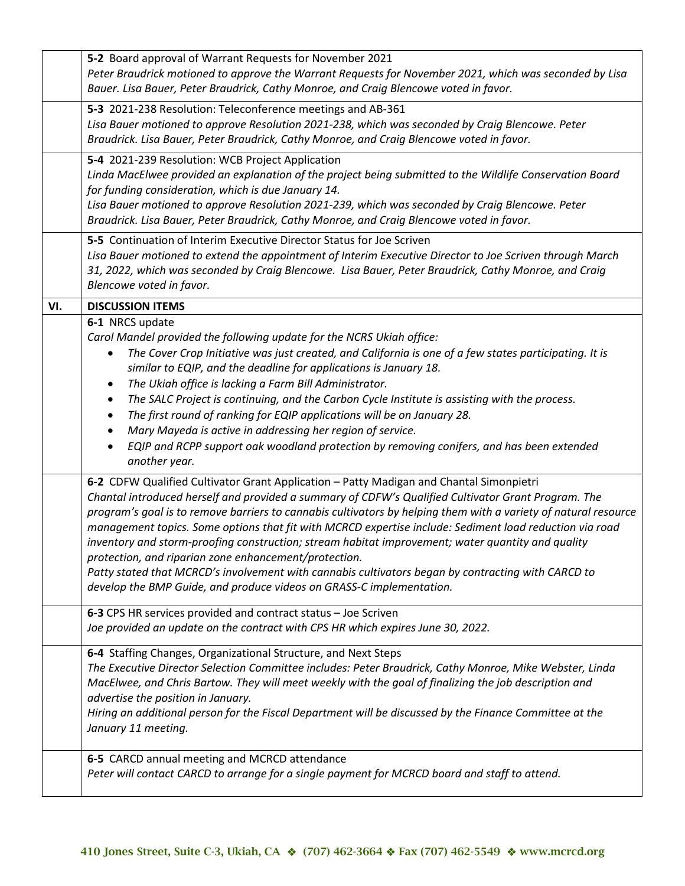|     | 5-2 Board approval of Warrant Requests for November 2021<br>Peter Braudrick motioned to approve the Warrant Requests for November 2021, which was seconded by Lisa<br>Bauer. Lisa Bauer, Peter Braudrick, Cathy Monroe, and Craig Blencowe voted in favor.                                                                                                                                                                                                                                                                                                                                                                                                                                                                                                               |
|-----|--------------------------------------------------------------------------------------------------------------------------------------------------------------------------------------------------------------------------------------------------------------------------------------------------------------------------------------------------------------------------------------------------------------------------------------------------------------------------------------------------------------------------------------------------------------------------------------------------------------------------------------------------------------------------------------------------------------------------------------------------------------------------|
|     | 5-3 2021-238 Resolution: Teleconference meetings and AB-361<br>Lisa Bauer motioned to approve Resolution 2021-238, which was seconded by Craig Blencowe. Peter<br>Braudrick. Lisa Bauer, Peter Braudrick, Cathy Monroe, and Craig Blencowe voted in favor.                                                                                                                                                                                                                                                                                                                                                                                                                                                                                                               |
|     | 5-4 2021-239 Resolution: WCB Project Application<br>Linda MacElwee provided an explanation of the project being submitted to the Wildlife Conservation Board<br>for funding consideration, which is due January 14.<br>Lisa Bauer motioned to approve Resolution 2021-239, which was seconded by Craig Blencowe. Peter<br>Braudrick. Lisa Bauer, Peter Braudrick, Cathy Monroe, and Craig Blencowe voted in favor.                                                                                                                                                                                                                                                                                                                                                       |
|     | 5-5 Continuation of Interim Executive Director Status for Joe Scriven<br>Lisa Bauer motioned to extend the appointment of Interim Executive Director to Joe Scriven through March<br>31, 2022, which was seconded by Craig Blencowe. Lisa Bauer, Peter Braudrick, Cathy Monroe, and Craig<br>Blencowe voted in favor.                                                                                                                                                                                                                                                                                                                                                                                                                                                    |
| VI. | <b>DISCUSSION ITEMS</b>                                                                                                                                                                                                                                                                                                                                                                                                                                                                                                                                                                                                                                                                                                                                                  |
|     | 6-1 NRCS update<br>Carol Mandel provided the following update for the NCRS Ukiah office:<br>The Cover Crop Initiative was just created, and California is one of a few states participating. It is<br>similar to EQIP, and the deadline for applications is January 18.<br>The Ukiah office is lacking a Farm Bill Administrator.<br>$\bullet$<br>The SALC Project is continuing, and the Carbon Cycle Institute is assisting with the process.<br>$\bullet$<br>The first round of ranking for EQIP applications will be on January 28.<br>٠<br>Mary Mayeda is active in addressing her region of service.<br>$\bullet$<br>EQIP and RCPP support oak woodland protection by removing conifers, and has been extended<br>another year.                                    |
|     | 6-2 CDFW Qualified Cultivator Grant Application - Patty Madigan and Chantal Simonpietri<br>Chantal introduced herself and provided a summary of CDFW's Qualified Cultivator Grant Program. The<br>program's goal is to remove barriers to cannabis cultivators by helping them with a variety of natural resource<br>management topics. Some options that fit with MCRCD expertise include: Sediment load reduction via road<br>inventory and storm-proofing construction; stream habitat improvement; water quantity and quality<br>protection, and riparian zone enhancement/protection.<br>Patty stated that MCRCD's involvement with cannabis cultivators began by contracting with CARCD to<br>develop the BMP Guide, and produce videos on GRASS-C implementation. |
|     | 6-3 CPS HR services provided and contract status - Joe Scriven<br>Joe provided an update on the contract with CPS HR which expires June 30, 2022.                                                                                                                                                                                                                                                                                                                                                                                                                                                                                                                                                                                                                        |
|     | 6-4 Staffing Changes, Organizational Structure, and Next Steps<br>The Executive Director Selection Committee includes: Peter Braudrick, Cathy Monroe, Mike Webster, Linda<br>MacElwee, and Chris Bartow. They will meet weekly with the goal of finalizing the job description and<br>advertise the position in January.<br>Hiring an additional person for the Fiscal Department will be discussed by the Finance Committee at the<br>January 11 meeting.                                                                                                                                                                                                                                                                                                               |
|     | 6-5 CARCD annual meeting and MCRCD attendance<br>Peter will contact CARCD to arrange for a single payment for MCRCD board and staff to attend.                                                                                                                                                                                                                                                                                                                                                                                                                                                                                                                                                                                                                           |